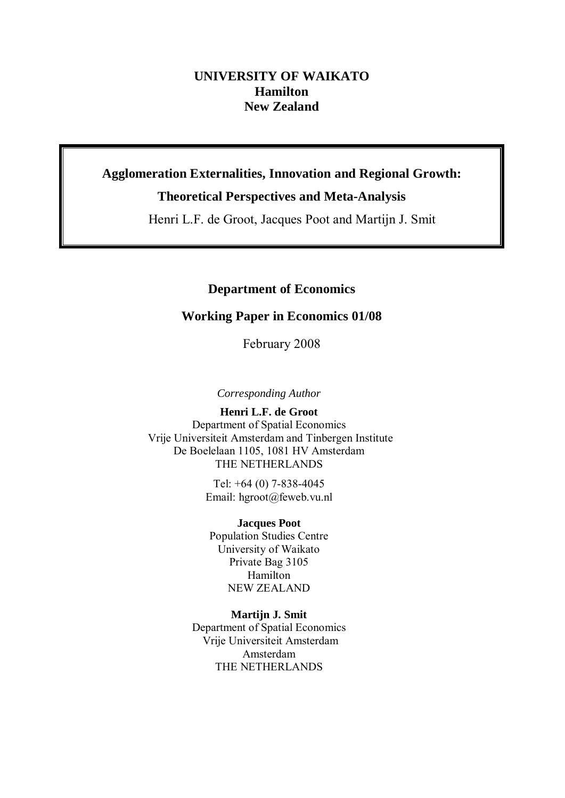# **UNIVERSITY OF WAIKATO Hamilton New Zealand**

# **Agglomeration Externalities, Innovation and Regional Growth:**

# **Theoretical Perspectives and Meta-Analysis**

Henri L.F. de Groot, Jacques Poot and Martijn J. Smit

# **Department of Economics**

# **Working Paper in Economics 01/08**

February 2008

*Corresponding Author* 

**Henri L.F. de Groot**  Department of Spatial Economics Vrije Universiteit Amsterdam and Tinbergen Institute De Boelelaan 1105, 1081 HV Amsterdam THE NETHERLANDS

> Tel: +64 (0) 7-838-4045 Email: hgroot@feweb.vu.nl

**Jacques Poot**  Population Studies Centre University of Waikato Private Bag 3105 Hamilton NEW ZEALAND

**Martijn J. Smit**  Department of Spatial Economics Vrije Universiteit Amsterdam Amsterdam THE NETHERLANDS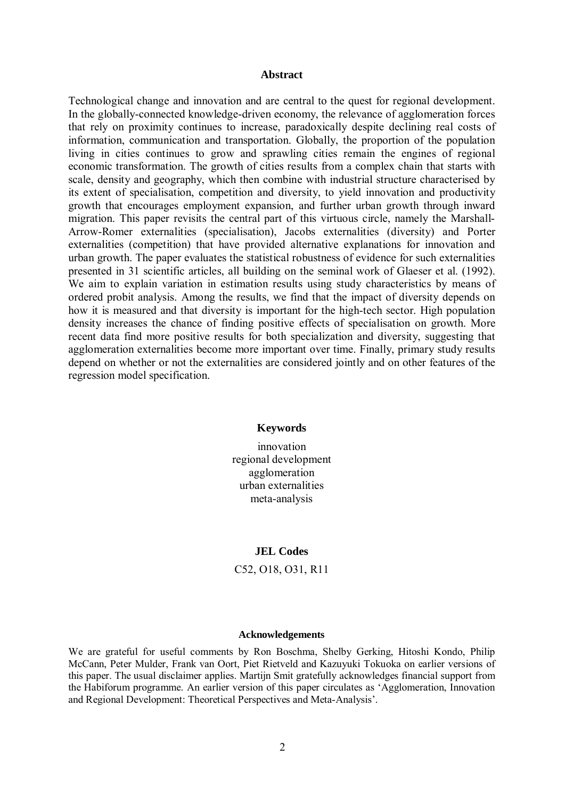#### **Abstract**

Technological change and innovation and are central to the quest for regional development. In the globally-connected knowledge-driven economy, the relevance of agglomeration forces that rely on proximity continues to increase, paradoxically despite declining real costs of information, communication and transportation. Globally, the proportion of the population living in cities continues to grow and sprawling cities remain the engines of regional economic transformation. The growth of cities results from a complex chain that starts with scale, density and geography, which then combine with industrial structure characterised by its extent of specialisation, competition and diversity, to yield innovation and productivity growth that encourages employment expansion, and further urban growth through inward migration. This paper revisits the central part of this virtuous circle, namely the Marshall-Arrow-Romer externalities (specialisation), Jacobs externalities (diversity) and Porter externalities (competition) that have provided alternative explanations for innovation and urban growth. The paper evaluates the statistical robustness of evidence for such externalities presented in 31 scientific articles, all building on the seminal work of Glaeser et al. (1992). We aim to explain variation in estimation results using study characteristics by means of ordered probit analysis. Among the results, we find that the impact of diversity depends on how it is measured and that diversity is important for the high-tech sector. High population density increases the chance of finding positive effects of specialisation on growth. More recent data find more positive results for both specialization and diversity, suggesting that agglomeration externalities become more important over time. Finally, primary study results depend on whether or not the externalities are considered jointly and on other features of the regression model specification.

#### **Keywords**

innovation regional development agglomeration urban externalities meta-analysis

#### **JEL Codes**

C52, O18, O31, R11

#### **Acknowledgements**

We are grateful for useful comments by Ron Boschma, Shelby Gerking, Hitoshi Kondo, Philip McCann, Peter Mulder, Frank van Oort, Piet Rietveld and Kazuyuki Tokuoka on earlier versions of this paper. The usual disclaimer applies. Martijn Smit gratefully acknowledges financial support from the Habiforum programme. An earlier version of this paper circulates as 'Agglomeration, Innovation and Regional Development: Theoretical Perspectives and Meta-Analysis'.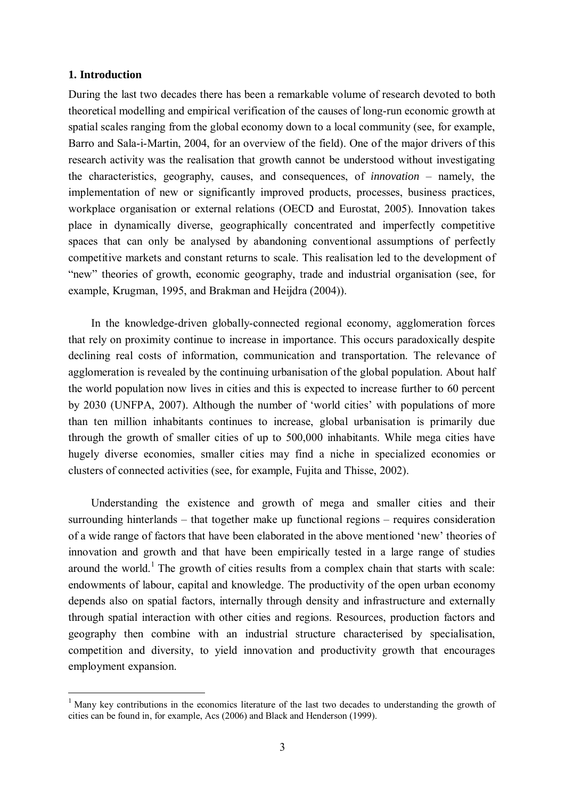## **1. Introduction**

1

During the last two decades there has been a remarkable volume of research devoted to both theoretical modelling and empirical verification of the causes of long-run economic growth at spatial scales ranging from the global economy down to a local community (see, for example, Barro and Sala-i-Martin, 2004, for an overview of the field). One of the major drivers of this research activity was the realisation that growth cannot be understood without investigating the characteristics, geography, causes, and consequences, of *innovation* – namely, the implementation of new or significantly improved products, processes, business practices, workplace organisation or external relations (OECD and Eurostat, 2005). Innovation takes place in dynamically diverse, geographically concentrated and imperfectly competitive spaces that can only be analysed by abandoning conventional assumptions of perfectly competitive markets and constant returns to scale. This realisation led to the development of "new" theories of growth, economic geography, trade and industrial organisation (see, for example, Krugman, 1995, and Brakman and Heijdra (2004)).

In the knowledge-driven globally-connected regional economy, agglomeration forces that rely on proximity continue to increase in importance. This occurs paradoxically despite declining real costs of information, communication and transportation. The relevance of agglomeration is revealed by the continuing urbanisation of the global population. About half the world population now lives in cities and this is expected to increase further to 60 percent by 2030 (UNFPA, 2007). Although the number of 'world cities' with populations of more than ten million inhabitants continues to increase, global urbanisation is primarily due through the growth of smaller cities of up to 500,000 inhabitants. While mega cities have hugely diverse economies, smaller cities may find a niche in specialized economies or clusters of connected activities (see, for example, Fujita and Thisse, 2002).

Understanding the existence and growth of mega and smaller cities and their surrounding hinterlands – that together make up functional regions – requires consideration of a wide range of factors that have been elaborated in the above mentioned 'new' theories of innovation and growth and that have been empirically tested in a large range of studies around the world.<sup>1</sup> The growth of cities results from a complex chain that starts with scale: endowments of labour, capital and knowledge. The productivity of the open urban economy depends also on spatial factors, internally through density and infrastructure and externally through spatial interaction with other cities and regions. Resources, production factors and geography then combine with an industrial structure characterised by specialisation, competition and diversity, to yield innovation and productivity growth that encourages employment expansion.

<sup>&</sup>lt;sup>1</sup> Many key contributions in the economics literature of the last two decades to understanding the growth of cities can be found in, for example, Acs (2006) and Black and Henderson (1999).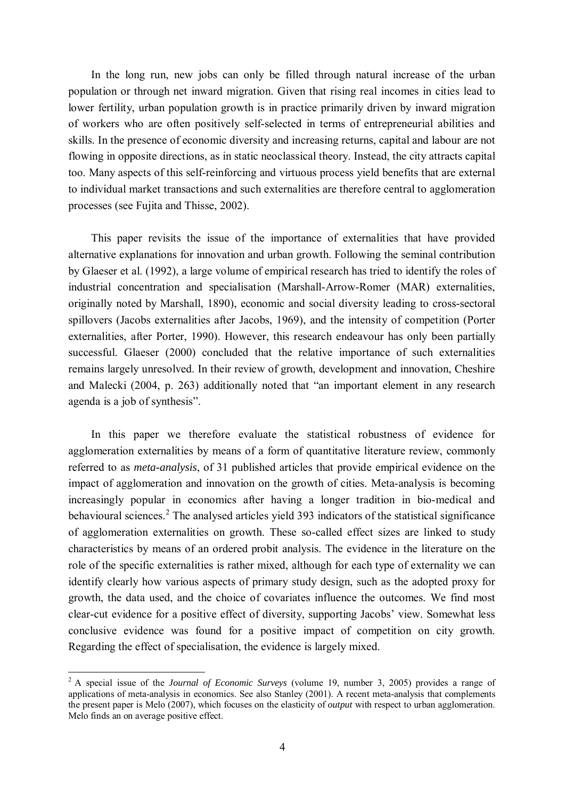In the long run, new jobs can only be filled through natural increase of the urban population or through net inward migration. Given that rising real incomes in cities lead to lower fertility, urban population growth is in practice primarily driven by inward migration of workers who are often positively self-selected in terms of entrepreneurial abilities and skills. In the presence of economic diversity and increasing returns, capital and labour are not flowing in opposite directions, as in static neoclassical theory. Instead, the city attracts capital too. Many aspects of this self-reinforcing and virtuous process yield benefits that are external to individual market transactions and such externalities are therefore central to agglomeration processes (see Fujita and Thisse, 2002).

This paper revisits the issue of the importance of externalities that have provided alternative explanations for innovation and urban growth. Following the seminal contribution by Glaeser et al. (1992), a large volume of empirical research has tried to identify the roles of industrial concentration and specialisation (Marshall-Arrow-Romer (MAR) externalities, originally noted by Marshall, 1890), economic and social diversity leading to cross-sectoral spillovers (Jacobs externalities after Jacobs, 1969), and the intensity of competition (Porter externalities, after Porter, 1990). However, this research endeavour has only been partially successful. Glaeser (2000) concluded that the relative importance of such externalities remains largely unresolved. In their review of growth, development and innovation, Cheshire and Malecki (2004, p. 263) additionally noted that "an important element in any research agenda is a job of synthesis".

In this paper we therefore evaluate the statistical robustness of evidence for agglomeration externalities by means of a form of quantitative literature review, commonly referred to as *meta-analysis*, of 31 published articles that provide empirical evidence on the impact of agglomeration and innovation on the growth of cities. Meta-analysis is becoming increasingly popular in economics after having a longer tradition in bio-medical and behavioural sciences.<sup>2</sup> The analysed articles yield 393 indicators of the statistical significance of agglomeration externalities on growth. These so-called effect sizes are linked to study characteristics by means of an ordered probit analysis. The evidence in the literature on the role of the specific externalities is rather mixed, although for each type of externality we can identify clearly how various aspects of primary study design, such as the adopted proxy for growth, the data used, and the choice of covariates influence the outcomes. We find most clear-cut evidence for a positive effect of diversity, supporting Jacobs' view. Somewhat less conclusive evidence was found for a positive impact of competition on city growth. Regarding the effect of specialisation, the evidence is largely mixed.

1

<sup>2</sup> A special issue of the *Journal of Economic Surveys* (volume 19, number 3, 2005) provides a range of applications of meta-analysis in economics. See also Stanley (2001). A recent meta-analysis that complements the present paper is Melo (2007), which focuses on the elasticity of *output* with respect to urban agglomeration. Melo finds an on average positive effect.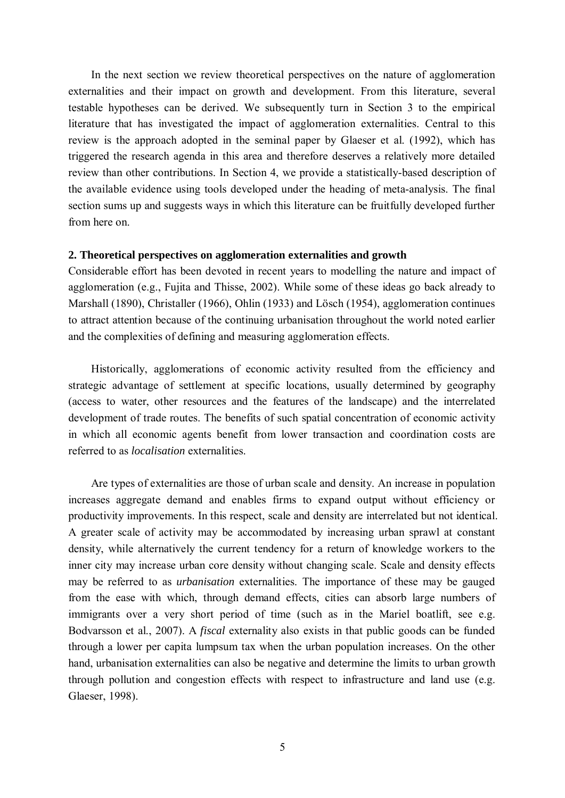In the next section we review theoretical perspectives on the nature of agglomeration externalities and their impact on growth and development. From this literature, several testable hypotheses can be derived. We subsequently turn in Section 3 to the empirical literature that has investigated the impact of agglomeration externalities. Central to this review is the approach adopted in the seminal paper by Glaeser et al. (1992), which has triggered the research agenda in this area and therefore deserves a relatively more detailed review than other contributions. In Section 4, we provide a statistically-based description of the available evidence using tools developed under the heading of meta-analysis. The final section sums up and suggests ways in which this literature can be fruitfully developed further from here on.

## **2. Theoretical perspectives on agglomeration externalities and growth**

Considerable effort has been devoted in recent years to modelling the nature and impact of agglomeration (e.g., Fujita and Thisse, 2002). While some of these ideas go back already to Marshall (1890), Christaller (1966), Ohlin (1933) and Lösch (1954), agglomeration continues to attract attention because of the continuing urbanisation throughout the world noted earlier and the complexities of defining and measuring agglomeration effects.

Historically, agglomerations of economic activity resulted from the efficiency and strategic advantage of settlement at specific locations, usually determined by geography (access to water, other resources and the features of the landscape) and the interrelated development of trade routes. The benefits of such spatial concentration of economic activity in which all economic agents benefit from lower transaction and coordination costs are referred to as *localisation* externalities.

Are types of externalities are those of urban scale and density. An increase in population increases aggregate demand and enables firms to expand output without efficiency or productivity improvements. In this respect, scale and density are interrelated but not identical. A greater scale of activity may be accommodated by increasing urban sprawl at constant density, while alternatively the current tendency for a return of knowledge workers to the inner city may increase urban core density without changing scale. Scale and density effects may be referred to as *urbanisation* externalities. The importance of these may be gauged from the ease with which, through demand effects, cities can absorb large numbers of immigrants over a very short period of time (such as in the Mariel boatlift, see e.g. Bodvarsson et al., 2007). A *fiscal* externality also exists in that public goods can be funded through a lower per capita lumpsum tax when the urban population increases. On the other hand, urbanisation externalities can also be negative and determine the limits to urban growth through pollution and congestion effects with respect to infrastructure and land use (e.g. Glaeser, 1998).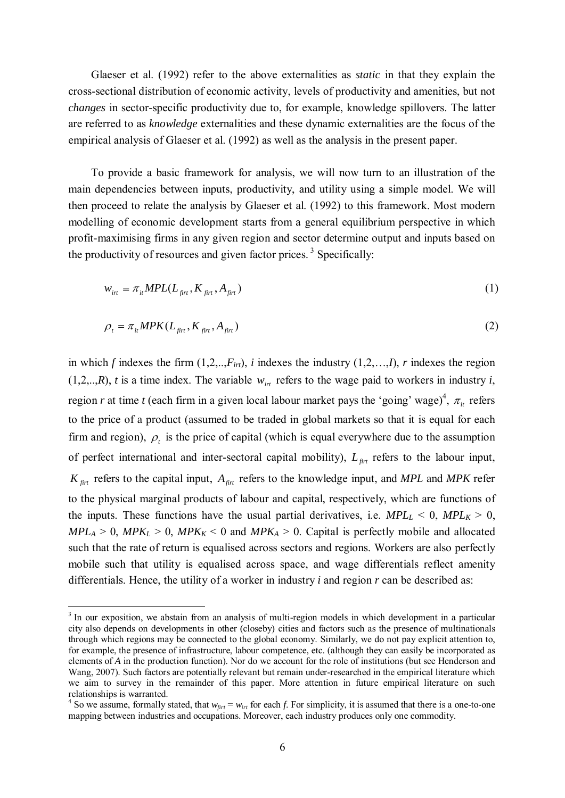Glaeser et al. (1992) refer to the above externalities as *static* in that they explain the cross-sectional distribution of economic activity, levels of productivity and amenities, but not *changes* in sector-specific productivity due to, for example, knowledge spillovers. The latter are referred to as *knowledge* externalities and these dynamic externalities are the focus of the empirical analysis of Glaeser et al. (1992) as well as the analysis in the present paper.

To provide a basic framework for analysis, we will now turn to an illustration of the main dependencies between inputs, productivity, and utility using a simple model. We will then proceed to relate the analysis by Glaeser et al. (1992) to this framework. Most modern modelling of economic development starts from a general equilibrium perspective in which profit-maximising firms in any given region and sector determine output and inputs based on the productivity of resources and given factor prices.<sup>3</sup> Specifically:

$$
w_{\text{int}} = \pi_{\text{ii}} MPL(L_{\text{firt}}, K_{\text{firt}}, A_{\text{firt}}) \tag{1}
$$

$$
\rho_t = \pi_{it} MPK(L_{\text{fit}}, K_{\text{fit}}, A_{\text{fit}}) \tag{2}
$$

in which *f* indexes the firm  $(1,2,...,F_{irt})$ , *i* indexes the industry  $(1,2,...,I)$ , *r* indexes the region  $(1,2,..,R)$ , *t* is a time index. The variable  $w_{irt}$  refers to the wage paid to workers in industry *i*, region *r* at time *t* (each firm in a given local labour market pays the 'going' wage)<sup>4</sup>,  $\pi$ <sub>*it*</sub> refers to the price of a product (assumed to be traded in global markets so that it is equal for each firm and region),  $\rho_t$  is the price of capital (which is equal everywhere due to the assumption of perfect international and inter-sectoral capital mobility),  $L_{\text{int}}$  refers to the labour input,  $K_{\text{firt}}$  refers to the capital input,  $A_{\text{firt}}$  refers to the knowledge input, and *MPL* and *MPK* refer to the physical marginal products of labour and capital, respectively, which are functions of the inputs. These functions have the usual partial derivatives, i.e.  $MPL_L < 0$ ,  $MPL_K > 0$ ,  $MPL_A > 0$ ,  $MPK_L > 0$ ,  $MPK_K < 0$  and  $MPK_A > 0$ . Capital is perfectly mobile and allocated such that the rate of return is equalised across sectors and regions. Workers are also perfectly mobile such that utility is equalised across space, and wage differentials reflect amenity differentials. Hence, the utility of a worker in industry *i* and region *r* can be described as:

<sup>&</sup>lt;sup>3</sup> In our exposition, we abstain from an analysis of multi-region models in which development in a particular city also depends on developments in other (closeby) cities and factors such as the presence of multinationals through which regions may be connected to the global economy. Similarly, we do not pay explicit attention to, for example, the presence of infrastructure, labour competence, etc. (although they can easily be incorporated as elements of *A* in the production function). Nor do we account for the role of institutions (but see Henderson and Wang, 2007). Such factors are potentially relevant but remain under-researched in the empirical literature which we aim to survey in the remainder of this paper. More attention in future empirical literature on such relationships is warranted.

<sup>&</sup>lt;sup>4</sup> So we assume, formally stated, that  $w_{\text{int}} = w_{\text{int}}$  for each *f*. For simplicity, it is assumed that there is a one-to-one mapping between industries and occupations. Moreover, each industry produces only one commodity.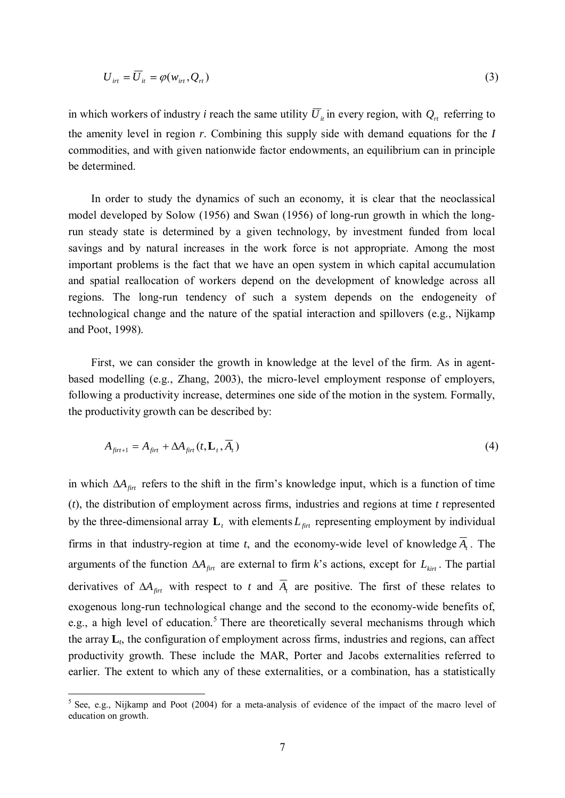$$
U_{\text{int}} = \overline{U}_{\text{it}} = \varphi(w_{\text{int}}, Q_{\text{rt}}) \tag{3}
$$

in which workers of industry *i* reach the same utility  $\overline{U}_{i}$  in every region, with  $Q_{r}$  referring to the amenity level in region *r*. Combining this supply side with demand equations for the *I*  commodities, and with given nationwide factor endowments, an equilibrium can in principle be determined.

In order to study the dynamics of such an economy, it is clear that the neoclassical model developed by Solow (1956) and Swan (1956) of long-run growth in which the longrun steady state is determined by a given technology, by investment funded from local savings and by natural increases in the work force is not appropriate. Among the most important problems is the fact that we have an open system in which capital accumulation and spatial reallocation of workers depend on the development of knowledge across all regions. The long-run tendency of such a system depends on the endogeneity of technological change and the nature of the spatial interaction and spillovers (e.g., Nijkamp and Poot, 1998).

First, we can consider the growth in knowledge at the level of the firm. As in agentbased modelling (e.g., Zhang, 2003), the micro-level employment response of employers, following a productivity increase, determines one side of the motion in the system. Formally, the productivity growth can be described by:

$$
A_{\text{first}} = A_{\text{first}} + \Delta A_{\text{first}}(t, \mathbf{L}_t, \overline{A}_t)
$$
\n<sup>(4)</sup>

in which  $\Delta A_{\text{firt}}$  refers to the shift in the firm's knowledge input, which is a function of time (*t*), the distribution of employment across firms, industries and regions at time *t* represented by the three-dimensional array  $\mathbf{L}_t$  with elements  $L_{\text{fit}}$  representing employment by individual firms in that industry-region at time *t*, and the economy-wide level of knowledge  $\overline{A}_t$ . The arguments of the function  $\Delta A_{\text{firt}}$  are external to firm *k*'s actions, except for  $L_{\text{firt}}$ . The partial derivatives of  $\Delta A_{\text{firt}}$  with respect to *t* and  $\overline{A}_{t}$  are positive. The first of these relates to exogenous long-run technological change and the second to the economy-wide benefits of, e.g., a high level of education.<sup>5</sup> There are theoretically several mechanisms through which the array **L***t*, the configuration of employment across firms, industries and regions, can affect productivity growth. These include the MAR, Porter and Jacobs externalities referred to earlier. The extent to which any of these externalities, or a combination, has a statistically

<sup>&</sup>lt;sup>5</sup> See, e.g., Nijkamp and Poot (2004) for a meta-analysis of evidence of the impact of the macro level of education on growth.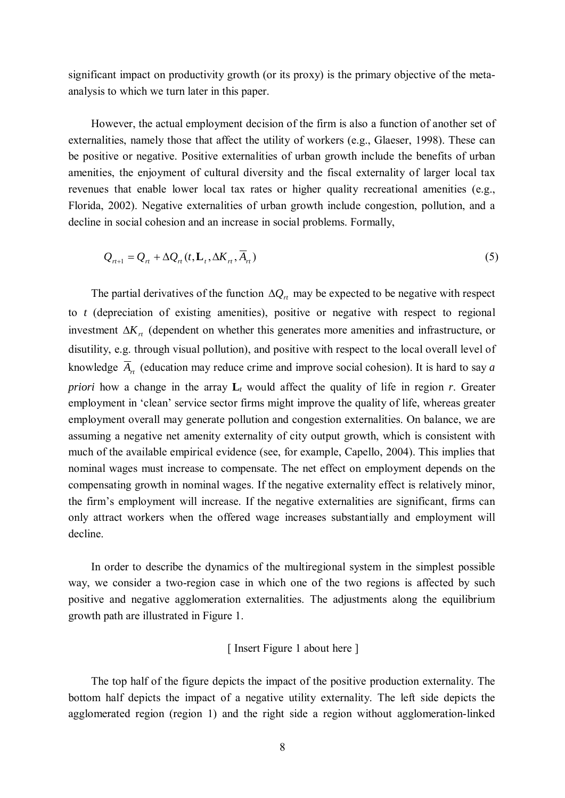significant impact on productivity growth (or its proxy) is the primary objective of the metaanalysis to which we turn later in this paper.

However, the actual employment decision of the firm is also a function of another set of externalities, namely those that affect the utility of workers (e.g., Glaeser, 1998). These can be positive or negative. Positive externalities of urban growth include the benefits of urban amenities, the enjoyment of cultural diversity and the fiscal externality of larger local tax revenues that enable lower local tax rates or higher quality recreational amenities (e.g., Florida, 2002). Negative externalities of urban growth include congestion, pollution, and a decline in social cohesion and an increase in social problems. Formally,

$$
Q_{n+1} = Q_n + \Delta Q_n(t, \mathbf{L}_t, \Delta K_n, \overline{A}_n)
$$
\n<sup>(5)</sup>

The partial derivatives of the function  $\Delta Q_{rt}$  may be expected to be negative with respect to *t* (depreciation of existing amenities), positive or negative with respect to regional investment  $\Delta K_{tt}$  (dependent on whether this generates more amenities and infrastructure, or disutility, e.g. through visual pollution), and positive with respect to the local overall level of knowledge  $\overline{A}_{r}$  (education may reduce crime and improve social cohesion). It is hard to say *a priori* how a change in the array  $L_t$  would affect the quality of life in region *r*. Greater employment in 'clean' service sector firms might improve the quality of life, whereas greater employment overall may generate pollution and congestion externalities. On balance, we are assuming a negative net amenity externality of city output growth, which is consistent with much of the available empirical evidence (see, for example, Capello, 2004). This implies that nominal wages must increase to compensate. The net effect on employment depends on the compensating growth in nominal wages. If the negative externality effect is relatively minor, the firm's employment will increase. If the negative externalities are significant, firms can only attract workers when the offered wage increases substantially and employment will decline.

In order to describe the dynamics of the multiregional system in the simplest possible way, we consider a two-region case in which one of the two regions is affected by such positive and negative agglomeration externalities. The adjustments along the equilibrium growth path are illustrated in Figure 1.

## [ Insert Figure 1 about here ]

The top half of the figure depicts the impact of the positive production externality. The bottom half depicts the impact of a negative utility externality. The left side depicts the agglomerated region (region 1) and the right side a region without agglomeration-linked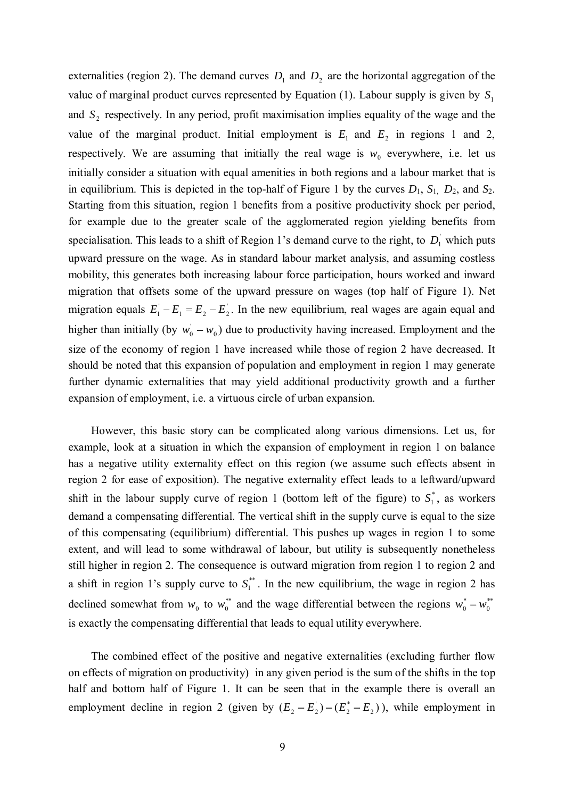externalities (region 2). The demand curves  $D_1$  and  $D_2$  are the horizontal aggregation of the value of marginal product curves represented by Equation (1). Labour supply is given by  $S_1$ and  $S_2$  respectively. In any period, profit maximisation implies equality of the wage and the value of the marginal product. Initial employment is  $E_1$  and  $E_2$  in regions 1 and 2, respectively. We are assuming that initially the real wage is  $w_0$  everywhere, i.e. let us initially consider a situation with equal amenities in both regions and a labour market that is in equilibrium. This is depicted in the top-half of Figure 1 by the curves  $D_1$ ,  $S_1$ ,  $D_2$ , and  $S_2$ . Starting from this situation, region 1 benefits from a positive productivity shock per period, for example due to the greater scale of the agglomerated region yielding benefits from specialisation. This leads to a shift of Region 1's demand curve to the right, to  $D_1$ <sup>'</sup> which puts upward pressure on the wage. As in standard labour market analysis, and assuming costless mobility, this generates both increasing labour force participation, hours worked and inward migration that offsets some of the upward pressure on wages (top half of Figure 1). Net migration equals  $E_1 - E_1 = E_2 - E_2$ . In the new equilibrium, real wages are again equal and higher than initially (by  $w_0 - w_0$ ) due to productivity having increased. Employment and the size of the economy of region 1 have increased while those of region 2 have decreased. It should be noted that this expansion of population and employment in region 1 may generate further dynamic externalities that may yield additional productivity growth and a further expansion of employment, i.e. a virtuous circle of urban expansion.

However, this basic story can be complicated along various dimensions. Let us, for example, look at a situation in which the expansion of employment in region 1 on balance has a negative utility externality effect on this region (we assume such effects absent in region 2 for ease of exposition). The negative externality effect leads to a leftward/upward shift in the labour supply curve of region 1 (bottom left of the figure) to  $S_1^*$ , as workers demand a compensating differential. The vertical shift in the supply curve is equal to the size of this compensating (equilibrium) differential. This pushes up wages in region 1 to some extent, and will lead to some withdrawal of labour, but utility is subsequently nonetheless still higher in region 2. The consequence is outward migration from region 1 to region 2 and a shift in region 1's supply curve to  $S_1^{**}$ . In the new equilibrium, the wage in region 2 has declined somewhat from  $w_0$  to  $w_0^{**}$  and the wage differential between the regions  $w_0^* - w_0^{**}$ is exactly the compensating differential that leads to equal utility everywhere.

The combined effect of the positive and negative externalities (excluding further flow on effects of migration on productivity) in any given period is the sum of the shifts in the top half and bottom half of Figure 1. It can be seen that in the example there is overall an employment decline in region 2 (given by  $(E_2 - E_2) - (E_2^* - E_2)$ )  $E_2 - E_2' - (E_2^* - E_2)$ , while employment in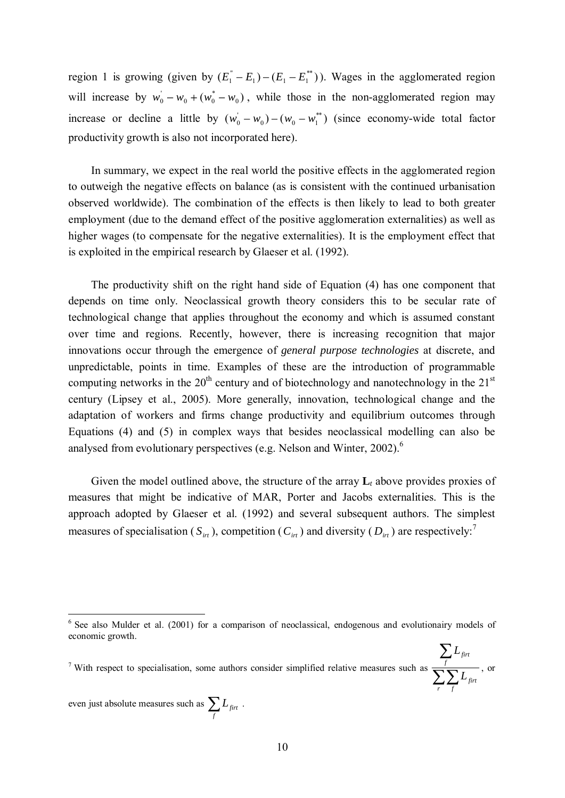region 1 is growing (given by  $(E_1^{\prime} - E_1) - (E_1 - E_1^{\prime\prime})$ ). Wages in the agglomerated region will increase by  $w_0' - w_0 + (w_0^* - w_0)$  $w_0 - w_0 + (w_0^* - w_0)$ , while those in the non-agglomerated region may increase or decline a little by  $(w_0 - w_0) - (w_0 - w_1^*)$  (since economy-wide total factor productivity growth is also not incorporated here).

In summary, we expect in the real world the positive effects in the agglomerated region to outweigh the negative effects on balance (as is consistent with the continued urbanisation observed worldwide). The combination of the effects is then likely to lead to both greater employment (due to the demand effect of the positive agglomeration externalities) as well as higher wages (to compensate for the negative externalities). It is the employment effect that is exploited in the empirical research by Glaeser et al. (1992).

The productivity shift on the right hand side of Equation (4) has one component that depends on time only. Neoclassical growth theory considers this to be secular rate of technological change that applies throughout the economy and which is assumed constant over time and regions. Recently, however, there is increasing recognition that major innovations occur through the emergence of *general purpose technologies* at discrete, and unpredictable, points in time. Examples of these are the introduction of programmable computing networks in the  $20<sup>th</sup>$  century and of biotechnology and nanotechnology in the  $21<sup>st</sup>$ century (Lipsey et al., 2005). More generally, innovation, technological change and the adaptation of workers and firms change productivity and equilibrium outcomes through Equations (4) and (5) in complex ways that besides neoclassical modelling can also be analysed from evolutionary perspectives (e.g. Nelson and Winter,  $2002$ ).<sup>6</sup>

Given the model outlined above, the structure of the array **L***t* above provides proxies of measures that might be indicative of MAR, Porter and Jacobs externalities. This is the approach adopted by Glaeser et al. (1992) and several subsequent authors. The simplest measures of specialisation ( $S_{int}$ ), competition ( $C_{int}$ ) and diversity ( $D_{int}$ ) are respectively:<sup>7</sup>

∑

*f*

*r f*

*firt*

, or

*firt*

*L*

*L*

<sup>7</sup> With respect to specialisation, some authors consider simplified relative measures such as  $\frac{1}{\sum_{i=1}^{n} \sum_{j=1}^{n} \frac{1}{\sum_{j=1}^{n} \sum_{j=1}^{n} \frac{1}{\sum_{j=1}^{n} \sum_{j=1}^{n} \frac{1}{\sum_{j=1}^{n} \frac{1}{\sum_{j=1}^{n} \frac{1}{\sum_{j=1}^{n} \frac{1}{$ 

even just absolute measures such as ∑ *f*  $L_{\textit{fit}}$  .

<sup>&</sup>lt;sup>6</sup> See also Mulder et al. (2001) for a comparison of neoclassical, endogenous and evolutionairy models of economic growth.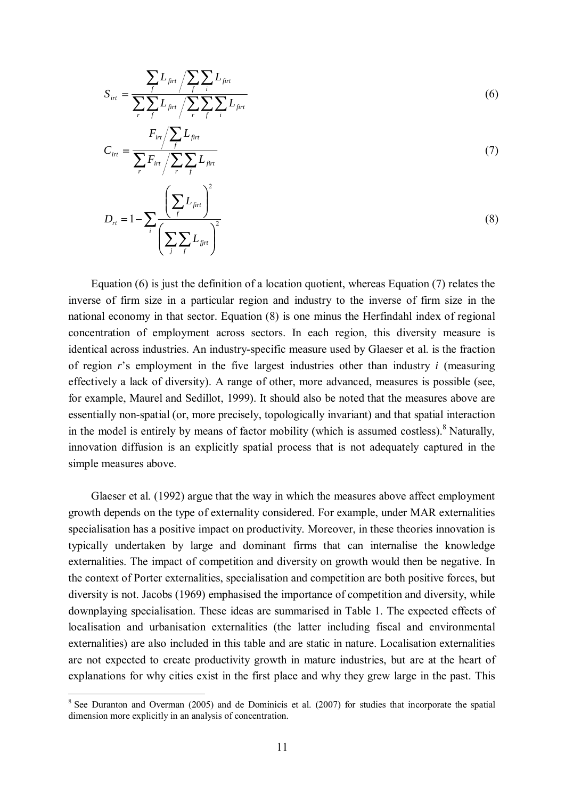$$
S_{in} = \frac{\sum_{f} L_{fin} / \sum_{f} \sum_{i} L_{fin}}{\sum_{r} \sum_{f} L_{fin} / \sum_{r} \sum_{f} \sum_{i} L_{fin}}
$$
\n
$$
C_{in} = \frac{F_{in} / \sum_{f} L_{fin}}{\sum_{r} F_{in} / \sum_{r} \sum_{f} L_{fin}}
$$
\n
$$
D_{n} = 1 - \sum_{i} \frac{\left(\sum_{f} L_{fin}\right)^{2}}{\left(\sum_{j} \sum_{f} L_{fin}\right)^{2}}
$$
\n(8)

Equation (6) is just the definition of a location quotient, whereas Equation (7) relates the inverse of firm size in a particular region and industry to the inverse of firm size in the national economy in that sector. Equation (8) is one minus the Herfindahl index of regional concentration of employment across sectors. In each region, this diversity measure is identical across industries. An industry-specific measure used by Glaeser et al. is the fraction of region *r*'s employment in the five largest industries other than industry *i* (measuring effectively a lack of diversity). A range of other, more advanced, measures is possible (see, for example, Maurel and Sedillot, 1999). It should also be noted that the measures above are essentially non-spatial (or, more precisely, topologically invariant) and that spatial interaction in the model is entirely by means of factor mobility (which is assumed costless).<sup>8</sup> Naturally, innovation diffusion is an explicitly spatial process that is not adequately captured in the simple measures above.

Glaeser et al. (1992) argue that the way in which the measures above affect employment growth depends on the type of externality considered. For example, under MAR externalities specialisation has a positive impact on productivity. Moreover, in these theories innovation is typically undertaken by large and dominant firms that can internalise the knowledge externalities. The impact of competition and diversity on growth would then be negative. In the context of Porter externalities, specialisation and competition are both positive forces, but diversity is not. Jacobs (1969) emphasised the importance of competition and diversity, while downplaying specialisation. These ideas are summarised in Table 1. The expected effects of localisation and urbanisation externalities (the latter including fiscal and environmental externalities) are also included in this table and are static in nature. Localisation externalities are not expected to create productivity growth in mature industries, but are at the heart of explanations for why cities exist in the first place and why they grew large in the past. This

<u>.</u>

<sup>&</sup>lt;sup>8</sup> See Duranton and Overman (2005) and de Dominicis et al. (2007) for studies that incorporate the spatial dimension more explicitly in an analysis of concentration.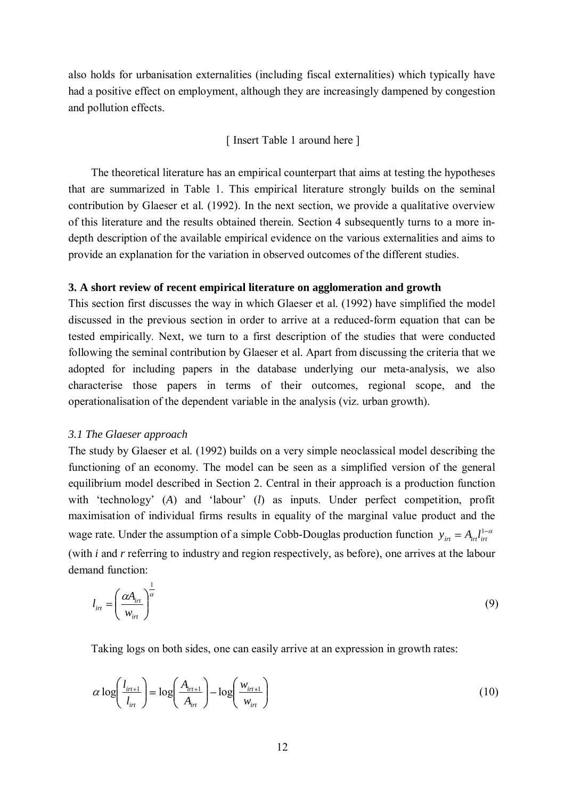also holds for urbanisation externalities (including fiscal externalities) which typically have had a positive effect on employment, although they are increasingly dampened by congestion and pollution effects.

# [ Insert Table 1 around here ]

The theoretical literature has an empirical counterpart that aims at testing the hypotheses that are summarized in Table 1. This empirical literature strongly builds on the seminal contribution by Glaeser et al. (1992). In the next section, we provide a qualitative overview of this literature and the results obtained therein. Section 4 subsequently turns to a more indepth description of the available empirical evidence on the various externalities and aims to provide an explanation for the variation in observed outcomes of the different studies.

# **3. A short review of recent empirical literature on agglomeration and growth**

This section first discusses the way in which Glaeser et al. (1992) have simplified the model discussed in the previous section in order to arrive at a reduced-form equation that can be tested empirically. Next, we turn to a first description of the studies that were conducted following the seminal contribution by Glaeser et al. Apart from discussing the criteria that we adopted for including papers in the database underlying our meta-analysis, we also characterise those papers in terms of their outcomes, regional scope, and the operationalisation of the dependent variable in the analysis (viz. urban growth).

#### *3.1 The Glaeser approach*

The study by Glaeser et al. (1992) builds on a very simple neoclassical model describing the functioning of an economy. The model can be seen as a simplified version of the general equilibrium model described in Section 2. Central in their approach is a production function with 'technology' (*A*) and 'labour' (*l*) as inputs. Under perfect competition, profit maximisation of individual firms results in equality of the marginal value product and the wage rate. Under the assumption of a simple Cobb-Douglas production function  $y_{int} = A_{int} l_{int}^{1-a}$ (with *i* and *r* referring to industry and region respectively, as before), one arrives at the labour demand function:

$$
l_{\rm irr} = \left(\frac{\alpha A_{\rm irr}}{w_{\rm irr}}\right)^{\frac{1}{\alpha}}
$$
(9)

Taking logs on both sides, one can easily arrive at an expression in growth rates:

$$
\alpha \log \left( \frac{l_{int+1}}{l_{int}} \right) = \log \left( \frac{A_{int+1}}{A_{int}} \right) - \log \left( \frac{w_{int+1}}{w_{int}} \right) \tag{10}
$$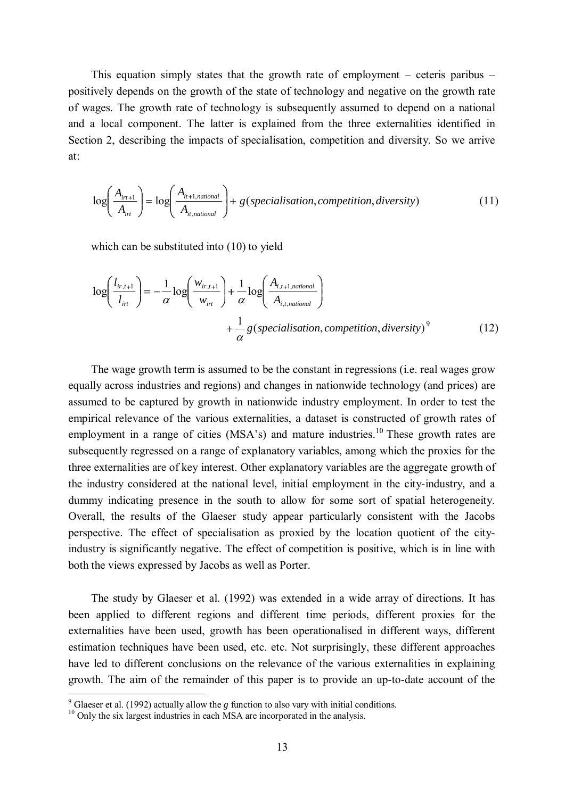This equation simply states that the growth rate of employment – ceteris paribus – positively depends on the growth of the state of technology and negative on the growth rate of wages. The growth rate of technology is subsequently assumed to depend on a national and a local component. The latter is explained from the three externalities identified in Section 2, describing the impacts of specialisation, competition and diversity. So we arrive at:

$$
\log\left(\frac{A_{int+1}}{A_{int}}\right) = \log\left(\frac{A_{it+1, \text{national}}}{A_{it, \text{national}}}\right) + g(\text{specialisation}, \text{composition}, \text{diversity})\tag{11}
$$

which can be substituted into  $(10)$  to yield

$$
\log\left(\frac{l_{ir,t+1}}{l_{irt}}\right) = -\frac{1}{\alpha} \log\left(\frac{w_{ir,t+1}}{w_{irt}}\right) + \frac{1}{\alpha} \log\left(\frac{A_{i,t+1,national}}{A_{i,t, national}}\right) + \frac{1}{\alpha} g(specialisation, competition, diversity)^{9}
$$
(12)

The wage growth term is assumed to be the constant in regressions (i.e. real wages grow equally across industries and regions) and changes in nationwide technology (and prices) are assumed to be captured by growth in nationwide industry employment. In order to test the empirical relevance of the various externalities, a dataset is constructed of growth rates of employment in a range of cities  $(MSA's)$  and mature industries.<sup>10</sup> These growth rates are subsequently regressed on a range of explanatory variables, among which the proxies for the three externalities are of key interest. Other explanatory variables are the aggregate growth of the industry considered at the national level, initial employment in the city-industry, and a dummy indicating presence in the south to allow for some sort of spatial heterogeneity. Overall, the results of the Glaeser study appear particularly consistent with the Jacobs perspective. The effect of specialisation as proxied by the location quotient of the cityindustry is significantly negative. The effect of competition is positive, which is in line with both the views expressed by Jacobs as well as Porter.

The study by Glaeser et al. (1992) was extended in a wide array of directions. It has been applied to different regions and different time periods, different proxies for the externalities have been used, growth has been operationalised in different ways, different estimation techniques have been used, etc. etc. Not surprisingly, these different approaches have led to different conclusions on the relevance of the various externalities in explaining growth. The aim of the remainder of this paper is to provide an up-to-date account of the

<u>.</u>

 $\degree$  Glaeser et al. (1992) actually allow the g function to also vary with initial conditions.

<sup>&</sup>lt;sup>10</sup> Only the six largest industries in each MSA are incorporated in the analysis.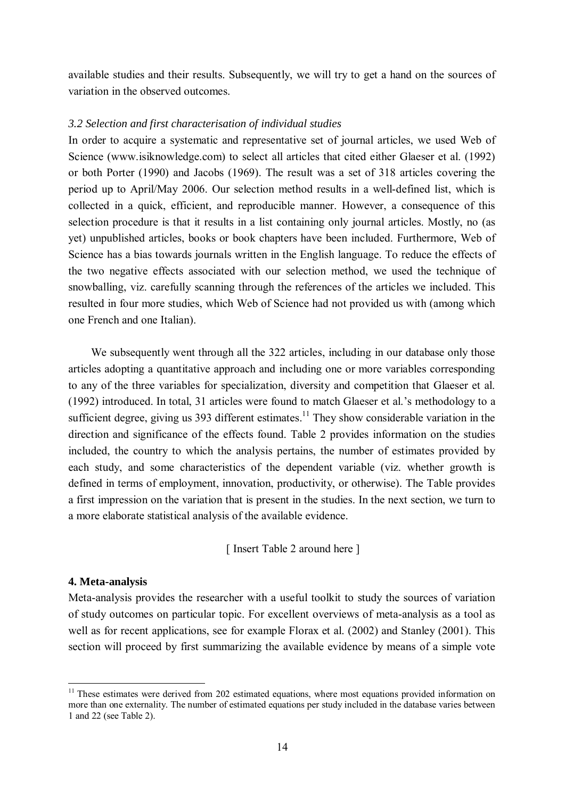available studies and their results. Subsequently, we will try to get a hand on the sources of variation in the observed outcomes.

# *3.2 Selection and first characterisation of individual studies*

In order to acquire a systematic and representative set of journal articles, we used Web of Science (www.isiknowledge.com) to select all articles that cited either Glaeser et al. (1992) or both Porter (1990) and Jacobs (1969). The result was a set of 318 articles covering the period up to April/May 2006. Our selection method results in a well-defined list, which is collected in a quick, efficient, and reproducible manner. However, a consequence of this selection procedure is that it results in a list containing only journal articles. Mostly, no (as yet) unpublished articles, books or book chapters have been included. Furthermore, Web of Science has a bias towards journals written in the English language. To reduce the effects of the two negative effects associated with our selection method, we used the technique of snowballing, viz. carefully scanning through the references of the articles we included. This resulted in four more studies, which Web of Science had not provided us with (among which one French and one Italian).

We subsequently went through all the 322 articles, including in our database only those articles adopting a quantitative approach and including one or more variables corresponding to any of the three variables for specialization, diversity and competition that Glaeser et al. (1992) introduced. In total, 31 articles were found to match Glaeser et al.'s methodology to a sufficient degree, giving us 393 different estimates.<sup>11</sup> They show considerable variation in the direction and significance of the effects found. Table 2 provides information on the studies included, the country to which the analysis pertains, the number of estimates provided by each study, and some characteristics of the dependent variable (viz. whether growth is defined in terms of employment, innovation, productivity, or otherwise). The Table provides a first impression on the variation that is present in the studies. In the next section, we turn to a more elaborate statistical analysis of the available evidence.

[ Insert Table 2 around here ]

### **4. Meta-analysis**

<u>.</u>

Meta-analysis provides the researcher with a useful toolkit to study the sources of variation of study outcomes on particular topic. For excellent overviews of meta-analysis as a tool as well as for recent applications, see for example Florax et al. (2002) and Stanley (2001). This section will proceed by first summarizing the available evidence by means of a simple vote

<sup>&</sup>lt;sup>11</sup> These estimates were derived from 202 estimated equations, where most equations provided information on more than one externality. The number of estimated equations per study included in the database varies between 1 and 22 (see Table 2).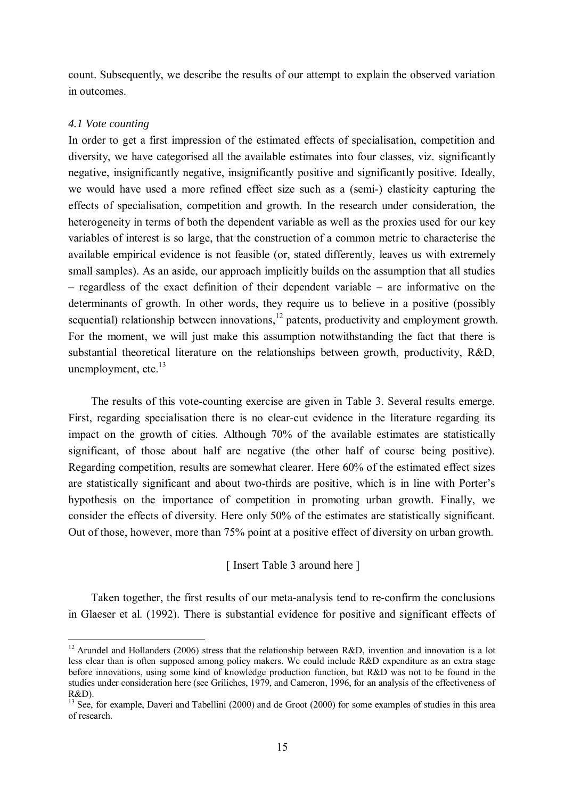count. Subsequently, we describe the results of our attempt to explain the observed variation in outcomes.

#### *4.1 Vote counting*

1

In order to get a first impression of the estimated effects of specialisation, competition and diversity, we have categorised all the available estimates into four classes, viz. significantly negative, insignificantly negative, insignificantly positive and significantly positive. Ideally, we would have used a more refined effect size such as a (semi-) elasticity capturing the effects of specialisation, competition and growth. In the research under consideration, the heterogeneity in terms of both the dependent variable as well as the proxies used for our key variables of interest is so large, that the construction of a common metric to characterise the available empirical evidence is not feasible (or, stated differently, leaves us with extremely small samples). As an aside, our approach implicitly builds on the assumption that all studies – regardless of the exact definition of their dependent variable – are informative on the determinants of growth. In other words, they require us to believe in a positive (possibly sequential) relationship between innovations, $12$  patents, productivity and employment growth. For the moment, we will just make this assumption notwithstanding the fact that there is substantial theoretical literature on the relationships between growth, productivity, R&D, unemployment, etc. $^{13}$ 

The results of this vote-counting exercise are given in Table 3. Several results emerge. First, regarding specialisation there is no clear-cut evidence in the literature regarding its impact on the growth of cities. Although 70% of the available estimates are statistically significant, of those about half are negative (the other half of course being positive). Regarding competition, results are somewhat clearer. Here 60% of the estimated effect sizes are statistically significant and about two-thirds are positive, which is in line with Porter's hypothesis on the importance of competition in promoting urban growth. Finally, we consider the effects of diversity. Here only 50% of the estimates are statistically significant. Out of those, however, more than 75% point at a positive effect of diversity on urban growth.

[ Insert Table 3 around here ]

Taken together, the first results of our meta-analysis tend to re-confirm the conclusions in Glaeser et al. (1992). There is substantial evidence for positive and significant effects of

<sup>&</sup>lt;sup>12</sup> Arundel and Hollanders (2006) stress that the relationship between R&D, invention and innovation is a lot less clear than is often supposed among policy makers. We could include R&D expenditure as an extra stage before innovations, using some kind of knowledge production function, but R&D was not to be found in the studies under consideration here (see Griliches, 1979, and Cameron, 1996, for an analysis of the effectiveness of R&D).

<sup>&</sup>lt;sup>13</sup> See, for example, Daveri and Tabellini (2000) and de Groot (2000) for some examples of studies in this area of research.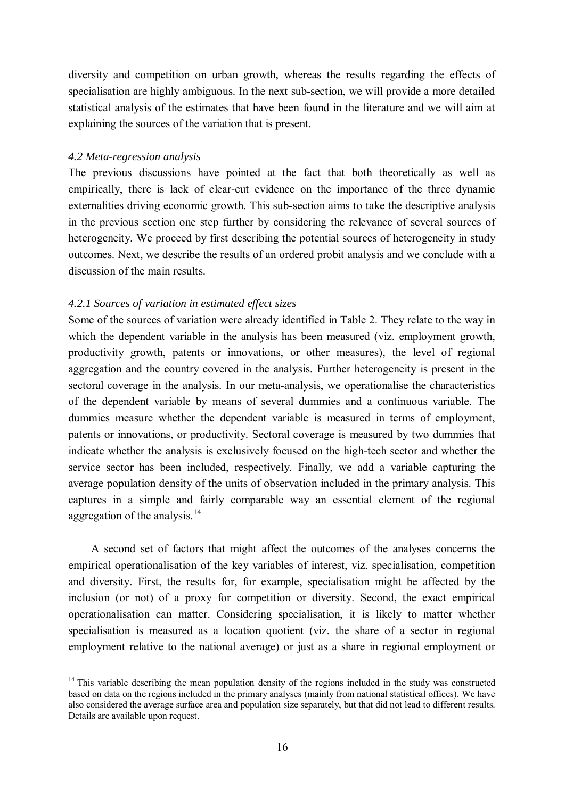diversity and competition on urban growth, whereas the results regarding the effects of specialisation are highly ambiguous. In the next sub-section, we will provide a more detailed statistical analysis of the estimates that have been found in the literature and we will aim at explaining the sources of the variation that is present.

# *4.2 Meta-regression analysis*

1

The previous discussions have pointed at the fact that both theoretically as well as empirically, there is lack of clear-cut evidence on the importance of the three dynamic externalities driving economic growth. This sub-section aims to take the descriptive analysis in the previous section one step further by considering the relevance of several sources of heterogeneity. We proceed by first describing the potential sources of heterogeneity in study outcomes. Next, we describe the results of an ordered probit analysis and we conclude with a discussion of the main results.

# *4.2.1 Sources of variation in estimated effect sizes*

Some of the sources of variation were already identified in Table 2. They relate to the way in which the dependent variable in the analysis has been measured (viz. employment growth, productivity growth, patents or innovations, or other measures), the level of regional aggregation and the country covered in the analysis. Further heterogeneity is present in the sectoral coverage in the analysis. In our meta-analysis, we operationalise the characteristics of the dependent variable by means of several dummies and a continuous variable. The dummies measure whether the dependent variable is measured in terms of employment, patents or innovations, or productivity. Sectoral coverage is measured by two dummies that indicate whether the analysis is exclusively focused on the high-tech sector and whether the service sector has been included, respectively. Finally, we add a variable capturing the average population density of the units of observation included in the primary analysis. This captures in a simple and fairly comparable way an essential element of the regional aggregation of the analysis.<sup>14</sup>

A second set of factors that might affect the outcomes of the analyses concerns the empirical operationalisation of the key variables of interest, viz. specialisation, competition and diversity. First, the results for, for example, specialisation might be affected by the inclusion (or not) of a proxy for competition or diversity. Second, the exact empirical operationalisation can matter. Considering specialisation, it is likely to matter whether specialisation is measured as a location quotient (viz. the share of a sector in regional employment relative to the national average) or just as a share in regional employment or

<sup>&</sup>lt;sup>14</sup> This variable describing the mean population density of the regions included in the study was constructed based on data on the regions included in the primary analyses (mainly from national statistical offices). We have also considered the average surface area and population size separately, but that did not lead to different results. Details are available upon request.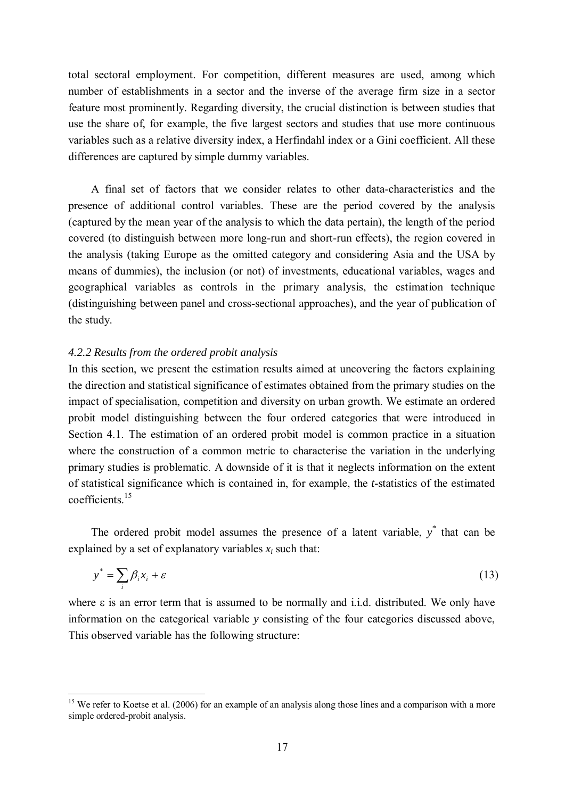total sectoral employment. For competition, different measures are used, among which number of establishments in a sector and the inverse of the average firm size in a sector feature most prominently. Regarding diversity, the crucial distinction is between studies that use the share of, for example, the five largest sectors and studies that use more continuous variables such as a relative diversity index, a Herfindahl index or a Gini coefficient. All these differences are captured by simple dummy variables.

A final set of factors that we consider relates to other data-characteristics and the presence of additional control variables. These are the period covered by the analysis (captured by the mean year of the analysis to which the data pertain), the length of the period covered (to distinguish between more long-run and short-run effects), the region covered in the analysis (taking Europe as the omitted category and considering Asia and the USA by means of dummies), the inclusion (or not) of investments, educational variables, wages and geographical variables as controls in the primary analysis, the estimation technique (distinguishing between panel and cross-sectional approaches), and the year of publication of the study.

#### *4.2.2 Results from the ordered probit analysis*

<u>.</u>

In this section, we present the estimation results aimed at uncovering the factors explaining the direction and statistical significance of estimates obtained from the primary studies on the impact of specialisation, competition and diversity on urban growth. We estimate an ordered probit model distinguishing between the four ordered categories that were introduced in Section 4.1. The estimation of an ordered probit model is common practice in a situation where the construction of a common metric to characterise the variation in the underlying primary studies is problematic. A downside of it is that it neglects information on the extent of statistical significance which is contained in, for example, the *t*-statistics of the estimated coefficients.15

The ordered probit model assumes the presence of a latent variable,  $y^*$  that can be explained by a set of explanatory variables *xi* such that:

$$
y^* = \sum_i \beta_i x_i + \varepsilon \tag{13}
$$

where  $\varepsilon$  is an error term that is assumed to be normally and i.i.d. distributed. We only have information on the categorical variable *y* consisting of the four categories discussed above, This observed variable has the following structure:

<sup>&</sup>lt;sup>15</sup> We refer to Koetse et al. (2006) for an example of an analysis along those lines and a comparison with a more simple ordered-probit analysis.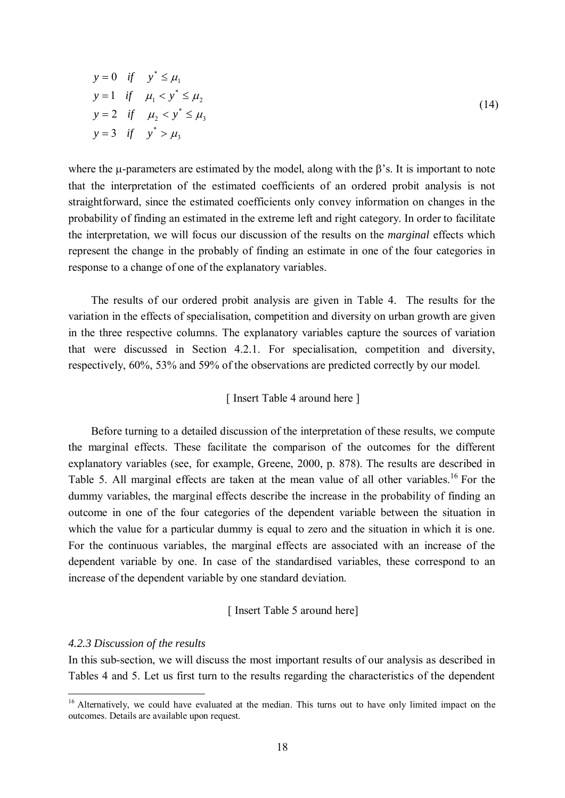3 \* 3 \* 2 2 \* 1 1 \* 3 2 1 0 μ μ μ μ μ μ = > = < ≤ = < ≤ = ≤ *y if y y if y y if y y if y* (14)

where the  $\mu$ -parameters are estimated by the model, along with the  $\beta$ 's. It is important to note that the interpretation of the estimated coefficients of an ordered probit analysis is not straightforward, since the estimated coefficients only convey information on changes in the probability of finding an estimated in the extreme left and right category. In order to facilitate the interpretation, we will focus our discussion of the results on the *marginal* effects which represent the change in the probably of finding an estimate in one of the four categories in response to a change of one of the explanatory variables.

The results of our ordered probit analysis are given in Table 4. The results for the variation in the effects of specialisation, competition and diversity on urban growth are given in the three respective columns. The explanatory variables capture the sources of variation that were discussed in Section 4.2.1. For specialisation, competition and diversity, respectively, 60%, 53% and 59% of the observations are predicted correctly by our model.

## [ Insert Table 4 around here ]

Before turning to a detailed discussion of the interpretation of these results, we compute the marginal effects. These facilitate the comparison of the outcomes for the different explanatory variables (see, for example, Greene, 2000, p. 878). The results are described in Table 5. All marginal effects are taken at the mean value of all other variables.<sup>16</sup> For the dummy variables, the marginal effects describe the increase in the probability of finding an outcome in one of the four categories of the dependent variable between the situation in which the value for a particular dummy is equal to zero and the situation in which it is one. For the continuous variables, the marginal effects are associated with an increase of the dependent variable by one. In case of the standardised variables, these correspond to an increase of the dependent variable by one standard deviation.

#### [ Insert Table 5 around here]

#### *4.2.3 Discussion of the results*

<u>.</u>

In this sub-section, we will discuss the most important results of our analysis as described in Tables 4 and 5. Let us first turn to the results regarding the characteristics of the dependent

<sup>&</sup>lt;sup>16</sup> Alternatively, we could have evaluated at the median. This turns out to have only limited impact on the outcomes. Details are available upon request.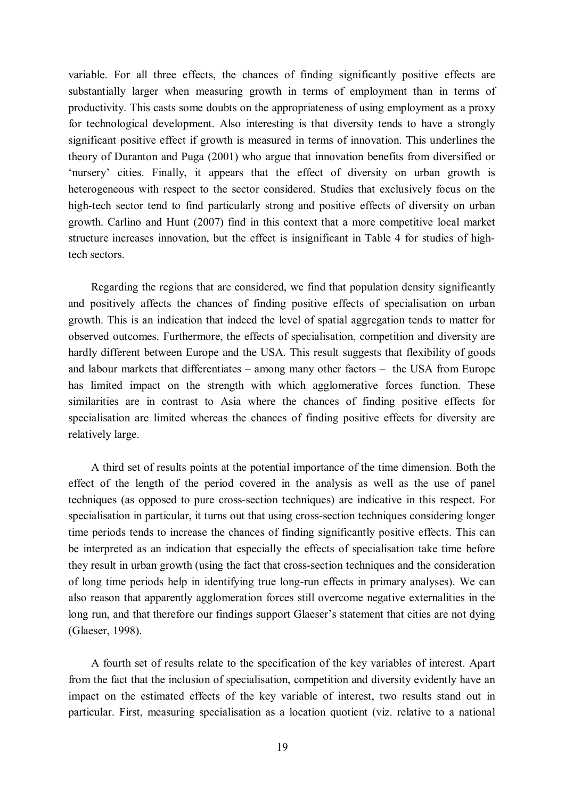variable. For all three effects, the chances of finding significantly positive effects are substantially larger when measuring growth in terms of employment than in terms of productivity. This casts some doubts on the appropriateness of using employment as a proxy for technological development. Also interesting is that diversity tends to have a strongly significant positive effect if growth is measured in terms of innovation. This underlines the theory of Duranton and Puga (2001) who argue that innovation benefits from diversified or 'nursery' cities. Finally, it appears that the effect of diversity on urban growth is heterogeneous with respect to the sector considered. Studies that exclusively focus on the high-tech sector tend to find particularly strong and positive effects of diversity on urban growth. Carlino and Hunt (2007) find in this context that a more competitive local market structure increases innovation, but the effect is insignificant in Table 4 for studies of hightech sectors.

Regarding the regions that are considered, we find that population density significantly and positively affects the chances of finding positive effects of specialisation on urban growth. This is an indication that indeed the level of spatial aggregation tends to matter for observed outcomes. Furthermore, the effects of specialisation, competition and diversity are hardly different between Europe and the USA. This result suggests that flexibility of goods and labour markets that differentiates – among many other factors – the USA from Europe has limited impact on the strength with which agglomerative forces function. These similarities are in contrast to Asia where the chances of finding positive effects for specialisation are limited whereas the chances of finding positive effects for diversity are relatively large.

A third set of results points at the potential importance of the time dimension. Both the effect of the length of the period covered in the analysis as well as the use of panel techniques (as opposed to pure cross-section techniques) are indicative in this respect. For specialisation in particular, it turns out that using cross-section techniques considering longer time periods tends to increase the chances of finding significantly positive effects. This can be interpreted as an indication that especially the effects of specialisation take time before they result in urban growth (using the fact that cross-section techniques and the consideration of long time periods help in identifying true long-run effects in primary analyses). We can also reason that apparently agglomeration forces still overcome negative externalities in the long run, and that therefore our findings support Glaeser's statement that cities are not dying (Glaeser, 1998).

A fourth set of results relate to the specification of the key variables of interest. Apart from the fact that the inclusion of specialisation, competition and diversity evidently have an impact on the estimated effects of the key variable of interest, two results stand out in particular. First, measuring specialisation as a location quotient (viz. relative to a national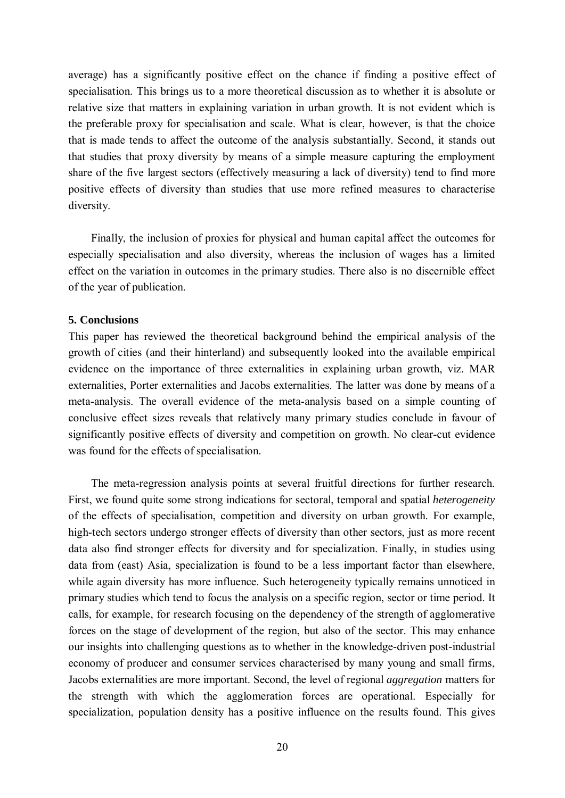average) has a significantly positive effect on the chance if finding a positive effect of specialisation. This brings us to a more theoretical discussion as to whether it is absolute or relative size that matters in explaining variation in urban growth. It is not evident which is the preferable proxy for specialisation and scale. What is clear, however, is that the choice that is made tends to affect the outcome of the analysis substantially. Second, it stands out that studies that proxy diversity by means of a simple measure capturing the employment share of the five largest sectors (effectively measuring a lack of diversity) tend to find more positive effects of diversity than studies that use more refined measures to characterise diversity.

Finally, the inclusion of proxies for physical and human capital affect the outcomes for especially specialisation and also diversity, whereas the inclusion of wages has a limited effect on the variation in outcomes in the primary studies. There also is no discernible effect of the year of publication.

## **5. Conclusions**

This paper has reviewed the theoretical background behind the empirical analysis of the growth of cities (and their hinterland) and subsequently looked into the available empirical evidence on the importance of three externalities in explaining urban growth, viz. MAR externalities, Porter externalities and Jacobs externalities. The latter was done by means of a meta-analysis. The overall evidence of the meta-analysis based on a simple counting of conclusive effect sizes reveals that relatively many primary studies conclude in favour of significantly positive effects of diversity and competition on growth. No clear-cut evidence was found for the effects of specialisation.

The meta-regression analysis points at several fruitful directions for further research. First, we found quite some strong indications for sectoral, temporal and spatial *heterogeneity* of the effects of specialisation, competition and diversity on urban growth. For example, high-tech sectors undergo stronger effects of diversity than other sectors, just as more recent data also find stronger effects for diversity and for specialization. Finally, in studies using data from (east) Asia, specialization is found to be a less important factor than elsewhere, while again diversity has more influence. Such heterogeneity typically remains unnoticed in primary studies which tend to focus the analysis on a specific region, sector or time period. It calls, for example, for research focusing on the dependency of the strength of agglomerative forces on the stage of development of the region, but also of the sector. This may enhance our insights into challenging questions as to whether in the knowledge-driven post-industrial economy of producer and consumer services characterised by many young and small firms, Jacobs externalities are more important. Second, the level of regional *aggregation* matters for the strength with which the agglomeration forces are operational. Especially for specialization, population density has a positive influence on the results found. This gives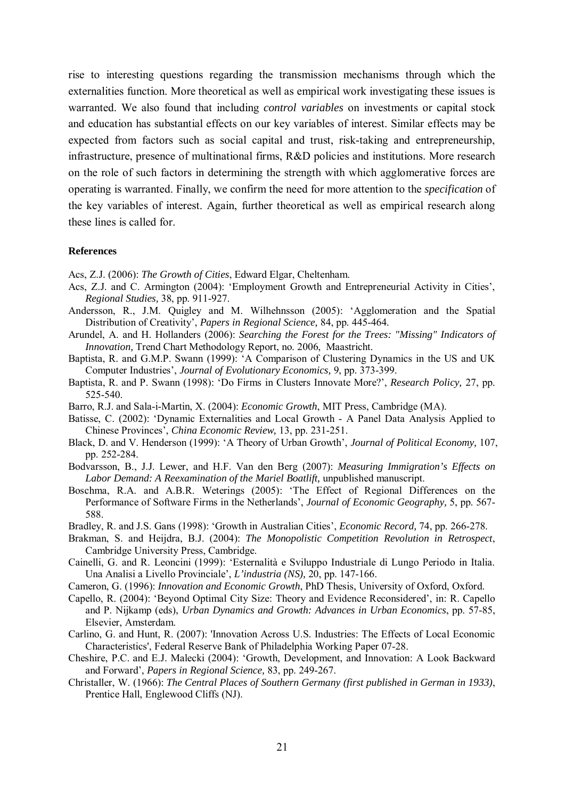rise to interesting questions regarding the transmission mechanisms through which the externalities function. More theoretical as well as empirical work investigating these issues is warranted. We also found that including *control variables* on investments or capital stock and education has substantial effects on our key variables of interest. Similar effects may be expected from factors such as social capital and trust, risk-taking and entrepreneurship, infrastructure, presence of multinational firms, R&D policies and institutions. More research on the role of such factors in determining the strength with which agglomerative forces are operating is warranted. Finally, we confirm the need for more attention to the *specification* of the key variables of interest. Again, further theoretical as well as empirical research along these lines is called for.

#### **References**

Acs, Z.J. (2006): *The Growth of Cities*, Edward Elgar, Cheltenham.

- Acs, Z.J. and C. Armington (2004): 'Employment Growth and Entrepreneurial Activity in Cities', *Regional Studies,* 38, pp. 911-927.
- Andersson, R., J.M. Quigley and M. Wilhehnsson (2005): 'Agglomeration and the Spatial Distribution of Creativity', *Papers in Regional Science,* 84, pp. 445-464.
- Arundel, A. and H. Hollanders (2006): *Searching the Forest for the Trees: "Missing" Indicators of Innovation,* Trend Chart Methodology Report, no. 2006, Maastricht.
- Baptista, R. and G.M.P. Swann (1999): 'A Comparison of Clustering Dynamics in the US and UK Computer Industries', *Journal of Evolutionary Economics,* 9, pp. 373-399.
- Baptista, R. and P. Swann (1998): 'Do Firms in Clusters Innovate More?', *Research Policy,* 27, pp. 525-540.
- Barro, R.J. and Sala-i-Martin, X. (2004): *Economic Growth*, MIT Press, Cambridge (MA).
- Batisse, C. (2002): 'Dynamic Externalities and Local Growth A Panel Data Analysis Applied to Chinese Provinces', *China Economic Review,* 13, pp. 231-251.
- Black, D. and V. Henderson (1999): 'A Theory of Urban Growth', *Journal of Political Economy,* 107, pp. 252-284.
- Bodvarsson, B., J.J. Lewer, and H.F. Van den Berg (2007): *Measuring Immigration's Effects on*  Labor Demand: A Reexamination of the Mariel Boatlift, unpublished manuscript.
- Boschma, R.A. and A.B.R. Weterings (2005): 'The Effect of Regional Differences on the Performance of Software Firms in the Netherlands', *Journal of Economic Geography,* 5, pp. 567- 588.
- Bradley, R. and J.S. Gans (1998): 'Growth in Australian Cities', *Economic Record,* 74, pp. 266-278.
- Brakman, S. and Heijdra, B.J. (2004): *The Monopolistic Competition Revolution in Retrospect*, Cambridge University Press, Cambridge.
- Cainelli, G. and R. Leoncini (1999): 'Esternalità e Sviluppo Industriale di Lungo Periodo in Italia. Una Analisi a Livello Provinciale', *L'industria (NS),* 20, pp. 147-166.
- Cameron, G. (1996): *Innovation and Economic Growth*, PhD Thesis, University of Oxford, Oxford.
- Capello, R. (2004): 'Beyond Optimal City Size: Theory and Evidence Reconsidered', in: R. Capello and P. Nijkamp (eds), *Urban Dynamics and Growth: Advances in Urban Economics*, pp. 57-85, Elsevier, Amsterdam.
- Carlino, G. and Hunt, R. (2007): 'Innovation Across U.S. Industries: The Effects of Local Economic Characteristics', Federal Reserve Bank of Philadelphia Working Paper 07-28.
- Cheshire, P.C. and E.J. Malecki (2004): 'Growth, Development, and Innovation: A Look Backward and Forward', *Papers in Regional Science,* 83, pp. 249-267.
- Christaller, W. (1966): *The Central Places of Southern Germany (first published in German in 1933)*, Prentice Hall, Englewood Cliffs (NJ).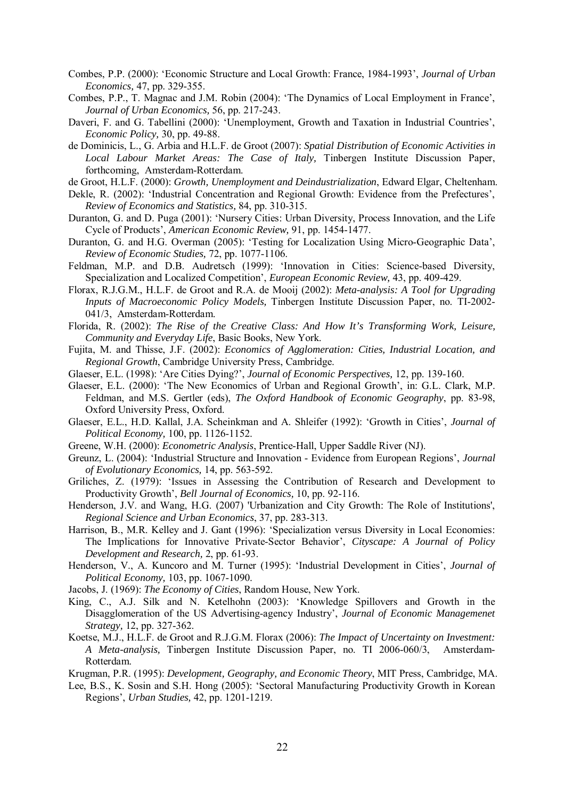- Combes, P.P. (2000): 'Economic Structure and Local Growth: France, 1984-1993', *Journal of Urban Economics,* 47, pp. 329-355.
- Combes, P.P., T. Magnac and J.M. Robin (2004): 'The Dynamics of Local Employment in France', *Journal of Urban Economics,* 56, pp. 217-243.
- Daveri, F. and G. Tabellini (2000): 'Unemployment, Growth and Taxation in Industrial Countries', *Economic Policy,* 30, pp. 49-88.
- de Dominicis, L., G. Arbia and H.L.F. de Groot (2007): *Spatial Distribution of Economic Activities in Local Labour Market Areas: The Case of Italy,* Tinbergen Institute Discussion Paper, forthcoming, Amsterdam-Rotterdam.
- de Groot, H.L.F. (2000): *Growth, Unemployment and Deindustrialization*, Edward Elgar, Cheltenham.
- Dekle, R. (2002): 'Industrial Concentration and Regional Growth: Evidence from the Prefectures', *Review of Economics and Statistics,* 84, pp. 310-315.
- Duranton, G. and D. Puga (2001): 'Nursery Cities: Urban Diversity, Process Innovation, and the Life Cycle of Products', *American Economic Review,* 91, pp. 1454-1477.
- Duranton, G. and H.G. Overman (2005): 'Testing for Localization Using Micro-Geographic Data', *Review of Economic Studies,* 72, pp. 1077-1106.
- Feldman, M.P. and D.B. Audretsch (1999): 'Innovation in Cities: Science-based Diversity, Specialization and Localized Competition', *European Economic Review,* 43, pp. 409-429.
- Florax, R.J.G.M., H.L.F. de Groot and R.A. de Mooij (2002): *Meta-analysis: A Tool for Upgrading Inputs of Macroeconomic Policy Models,* Tinbergen Institute Discussion Paper, no. TI-2002- 041/3, Amsterdam-Rotterdam.
- Florida, R. (2002): *The Rise of the Creative Class: And How It's Transforming Work, Leisure, Community and Everyday Life*, Basic Books, New York.
- Fujita, M. and Thisse, J.F. (2002): *Economics of Agglomeration: Cities, Industrial Location, and Regional Growth*, Cambridge University Press, Cambridge.
- Glaeser, E.L. (1998): 'Are Cities Dying?', *Journal of Economic Perspectives,* 12, pp. 139-160.
- Glaeser, E.L. (2000): 'The New Economics of Urban and Regional Growth', in: G.L. Clark, M.P. Feldman, and M.S. Gertler (eds), *The Oxford Handbook of Economic Geography*, pp. 83-98, Oxford University Press, Oxford.
- Glaeser, E.L., H.D. Kallal, J.A. Scheinkman and A. Shleifer (1992): 'Growth in Cities', *Journal of Political Economy,* 100, pp. 1126-1152.
- Greene, W.H. (2000): *Econometric Analysis*, Prentice-Hall, Upper Saddle River (NJ).
- Greunz, L. (2004): 'Industrial Structure and Innovation Evidence from European Regions', *Journal of Evolutionary Economics,* 14, pp. 563-592.
- Griliches, Z. (1979): 'Issues in Assessing the Contribution of Research and Development to Productivity Growth', *Bell Journal of Economics,* 10, pp. 92-116.
- Henderson, J.V. and Wang, H.G. (2007) 'Urbanization and City Growth: The Role of Institutions', *Regional Science and Urban Economics*, 37, pp. 283-313.
- Harrison, B., M.R. Kelley and J. Gant (1996): 'Specialization versus Diversity in Local Economies: The Implications for Innovative Private-Sector Behavior', *Cityscape: A Journal of Policy Development and Research,* 2, pp. 61-93.
- Henderson, V., A. Kuncoro and M. Turner (1995): 'Industrial Development in Cities', *Journal of Political Economy,* 103, pp. 1067-1090.
- Jacobs, J. (1969): *The Economy of Cities*, Random House, New York.
- King, C., A.J. Silk and N. Ketelhohn (2003): 'Knowledge Spillovers and Growth in the Disagglomeration of the US Advertising-agency Industry', *Journal of Economic Managemenet Strategy,* 12, pp. 327-362.
- Koetse, M.J., H.L.F. de Groot and R.J.G.M. Florax (2006): *The Impact of Uncertainty on Investment: A Meta-analysis,* Tinbergen Institute Discussion Paper, no. TI 2006-060/3, Amsterdam-Rotterdam.

Krugman, P.R. (1995): *Development, Geography, and Economic Theory*, MIT Press, Cambridge, MA.

Lee, B.S., K. Sosin and S.H. Hong (2005): 'Sectoral Manufacturing Productivity Growth in Korean Regions', *Urban Studies,* 42, pp. 1201-1219.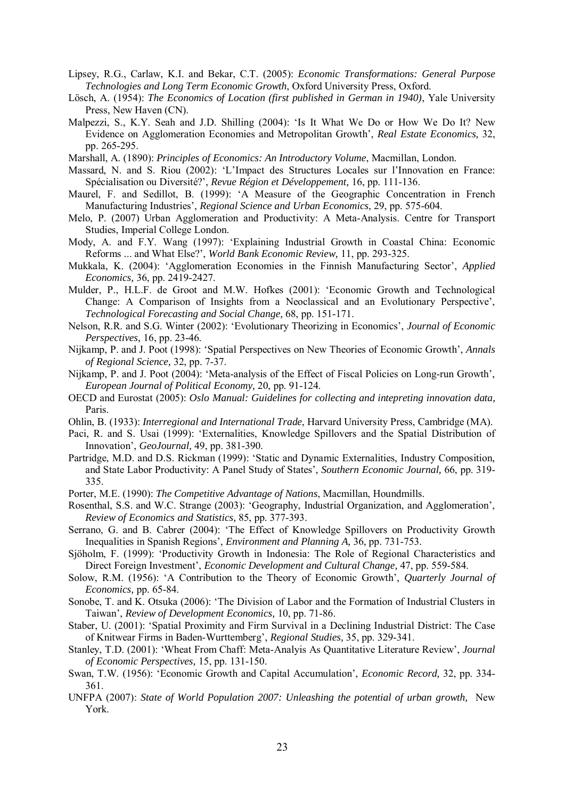- Lipsey, R.G., Carlaw, K.I. and Bekar, C.T. (2005): *Economic Transformations: General Purpose Technologies and Long Term Economic Growth*, Oxford University Press, Oxford.
- Lösch, A. (1954): *The Economics of Location (first published in German in 1940)*, Yale University Press, New Haven (CN).
- Malpezzi, S., K.Y. Seah and J.D. Shilling (2004): 'Is It What We Do or How We Do It? New Evidence on Agglomeration Economies and Metropolitan Growth', *Real Estate Economics,* 32, pp. 265-295.
- Marshall, A. (1890): *Principles of Economics: An Introductory Volume*, Macmillan, London.
- Massard, N. and S. Riou (2002): 'L'Impact des Structures Locales sur l'Innovation en France: Spécialisation ou Diversité?', *Revue Région et Développement,* 16, pp. 111-136.
- Maurel, F. and Sedillot, B. (1999): 'A Measure of the Geographic Concentration in French Manufacturing Industries', *Regional Science and Urban Economics*, 29, pp. 575-604.
- Melo, P. (2007) Urban Agglomeration and Productivity: A Meta-Analysis. Centre for Transport Studies, Imperial College London.
- Mody, A. and F.Y. Wang (1997): 'Explaining Industrial Growth in Coastal China: Economic Reforms ... and What Else?', *World Bank Economic Review,* 11, pp. 293-325.
- Mukkala, K. (2004): 'Agglomeration Economies in the Finnish Manufacturing Sector', *Applied Economics,* 36, pp. 2419-2427.
- Mulder, P., H.L.F. de Groot and M.W. Hofkes (2001): 'Economic Growth and Technological Change: A Comparison of Insights from a Neoclassical and an Evolutionary Perspective', *Technological Forecasting and Social Change,* 68, pp. 151-171.
- Nelson, R.R. and S.G. Winter (2002): 'Evolutionary Theorizing in Economics', *Journal of Economic Perspectives,* 16, pp. 23-46.
- Nijkamp, P. and J. Poot (1998): 'Spatial Perspectives on New Theories of Economic Growth', *Annals of Regional Science,* 32, pp. 7-37.
- Nijkamp, P. and J. Poot (2004): 'Meta-analysis of the Effect of Fiscal Policies on Long-run Growth', *European Journal of Political Economy,* 20, pp. 91-124.
- OECD and Eurostat (2005): *Oslo Manual: Guidelines for collecting and intepreting innovation data,*  Paris.
- Ohlin, B. (1933): *Interregional and International Trade*, Harvard University Press, Cambridge (MA).
- Paci, R. and S. Usai (1999): 'Externalities, Knowledge Spillovers and the Spatial Distribution of Innovation', *GeoJournal,* 49, pp. 381-390.
- Partridge, M.D. and D.S. Rickman (1999): 'Static and Dynamic Externalities, Industry Composition, and State Labor Productivity: A Panel Study of States', *Southern Economic Journal,* 66, pp. 319- 335.
- Porter, M.E. (1990): *The Competitive Advantage of Nations*, Macmillan, Houndmills.
- Rosenthal, S.S. and W.C. Strange (2003): 'Geography, Industrial Organization, and Agglomeration', *Review of Economics and Statistics,* 85, pp. 377-393.
- Serrano, G. and B. Cabrer (2004): 'The Effect of Knowledge Spillovers on Productivity Growth Inequalities in Spanish Regions', *Environment and Planning A,* 36, pp. 731-753.
- Sjöholm, F. (1999): 'Productivity Growth in Indonesia: The Role of Regional Characteristics and Direct Foreign Investment', *Economic Development and Cultural Change,* 47, pp. 559-584.
- Solow, R.M. (1956): 'A Contribution to the Theory of Economic Growth', *Quarterly Journal of Economics,* pp. 65-84.
- Sonobe, T. and K. Otsuka (2006): 'The Division of Labor and the Formation of Industrial Clusters in Taiwan', *Review of Development Economics,* 10, pp. 71-86.
- Staber, U. (2001): 'Spatial Proximity and Firm Survival in a Declining Industrial District: The Case of Knitwear Firms in Baden-Wurttemberg', *Regional Studies,* 35, pp. 329-341.
- Stanley, T.D. (2001): 'Wheat From Chaff: Meta-Analyis As Quantitative Literature Review', *Journal of Economic Perspectives,* 15, pp. 131-150.
- Swan, T.W. (1956): 'Economic Growth and Capital Accumulation', *Economic Record,* 32, pp. 334- 361.
- UNFPA (2007): *State of World Population 2007: Unleashing the potential of urban growth,* New York.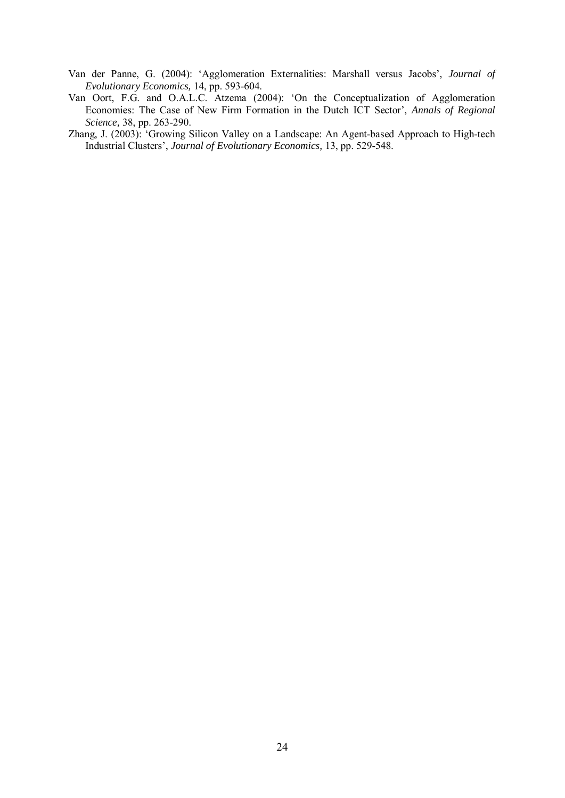- Van der Panne, G. (2004): 'Agglomeration Externalities: Marshall versus Jacobs', *Journal of Evolutionary Economics,* 14, pp. 593-604.
- Van Oort, F.G. and O.A.L.C. Atzema (2004): 'On the Conceptualization of Agglomeration Economies: The Case of New Firm Formation in the Dutch ICT Sector', *Annals of Regional Science,* 38, pp. 263-290.
- Zhang, J. (2003): 'Growing Silicon Valley on a Landscape: An Agent-based Approach to High-tech Industrial Clusters', *Journal of Evolutionary Economics,* 13, pp. 529-548.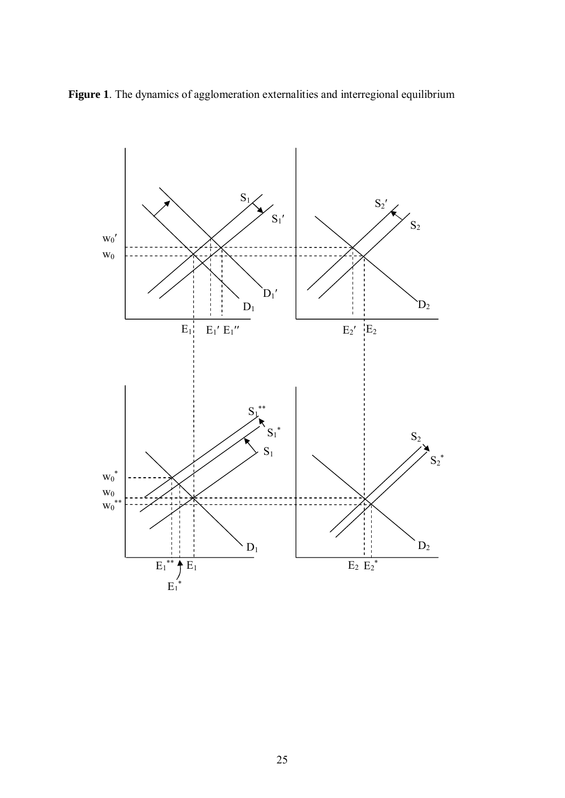

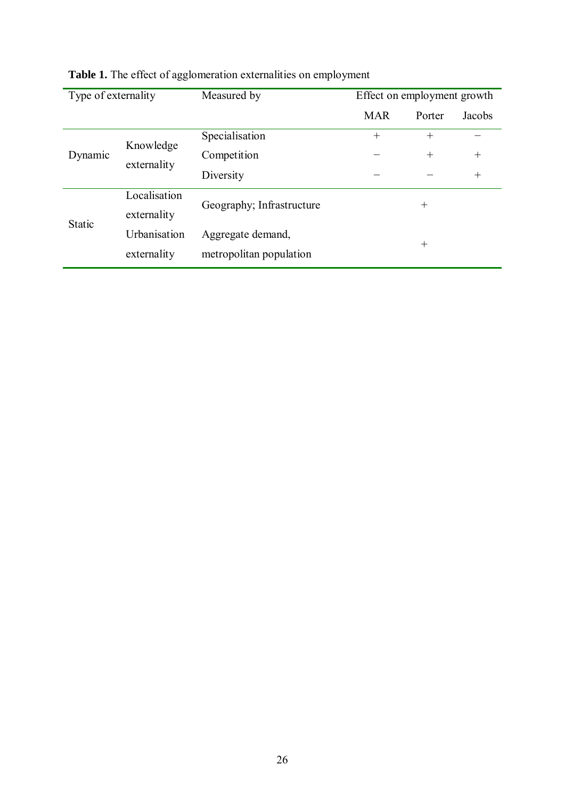| Type of externality |              | Measured by               | Effect on employment growth |        |        |  |
|---------------------|--------------|---------------------------|-----------------------------|--------|--------|--|
|                     |              |                           | <b>MAR</b>                  | Porter | Jacobs |  |
|                     | Knowledge    | Specialisation            | $^{+}$                      | $^{+}$ |        |  |
| Dynamic             | externality  | Competition               |                             | $^{+}$ | $^{+}$ |  |
|                     |              | Diversity                 |                             |        | $+$    |  |
| <b>Static</b>       | Localisation | Geography; Infrastructure | $^{+}$                      |        |        |  |
|                     | externality  |                           |                             |        |        |  |
|                     | Urbanisation | Aggregate demand,         |                             |        |        |  |
|                     | externality  | metropolitan population   | $^{+}$                      |        |        |  |

**Table 1.** The effect of agglomeration externalities on employment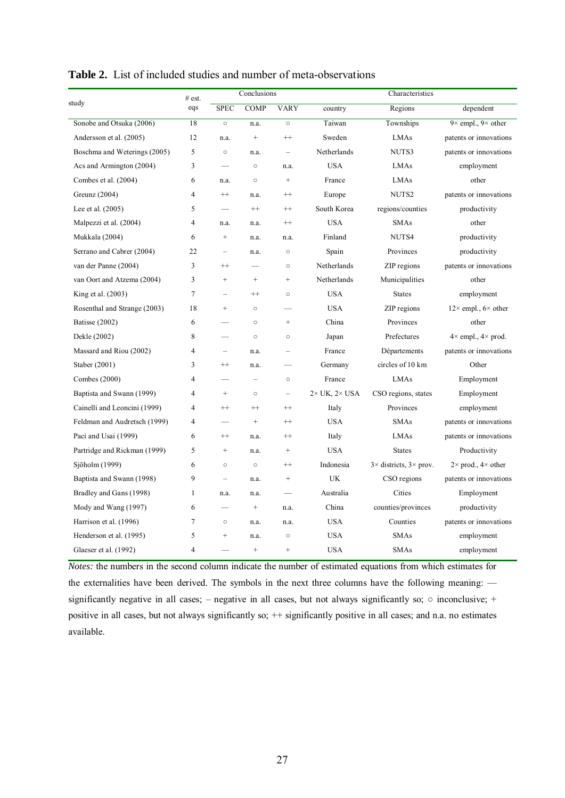|                              | $#$ est.       | Conclusions              |             | Characteristics          |                               |                                      |                                     |
|------------------------------|----------------|--------------------------|-------------|--------------------------|-------------------------------|--------------------------------------|-------------------------------------|
| study                        | eqs            | <b>SPEC</b>              | <b>COMP</b> | <b>VARY</b>              | country                       | Regions                              | dependent                           |
| Sonobe and Otsuka (2006)     | 18             | $\circ$                  | n.a.        | $\circ$                  | Taiwan                        | Townships                            | $9 \times$ empl., $9 \times$ other  |
| Andersson et al. (2005)      | 12             | n.a.                     | $^{+}$      | $++$                     | Sweden                        | LMAs                                 | patents or innovations              |
| Boschma and Weterings (2005) | 5              | $\circ$                  | n.a.        | $\overline{\phantom{0}}$ | Netherlands                   | NUTS3                                | patents or innovations              |
| Acs and Armington (2004)     | 3              |                          | $\circ$     | n.a.                     | <b>USA</b>                    | LMAs                                 | employment                          |
| Combes et al. (2004)         | 6              | n.a.                     | $\circ$     | $^{+}$                   | France                        | LMAs                                 | other                               |
| Greunz $(2004)$              | $\overline{4}$ | $++$                     | n.a.        | $^{++}$                  | Europe                        | NUTS2                                | patents or innovations              |
| Lee et al. (2005)            | 5              |                          | $^{++}$     | $^{++}$                  | South Korea                   | regions/counties                     | productivity                        |
| Malpezzi et al. (2004)       | 4              | n.a.                     | n.a.        | $^{++}$                  | <b>USA</b>                    | <b>SMAs</b>                          | other                               |
| Mukkala (2004)               | 6              | $^{+}$                   | n.a.        | n.a.                     | Finland                       | NUTS4                                | productivity                        |
| Serrano and Cabrer (2004)    | 22             | $\overline{\phantom{0}}$ | n.a.        | $\circ$                  | Spain                         | Provinces                            | productivity                        |
| van der Panne (2004)         | 3              | $^{++}$                  |             | $\circ$                  | Netherlands                   | ZIP regions                          | patents or innovations              |
| van Oort and Atzema (2004)   | 3              | $^{+}$                   | $+$         | $^{+}$                   | Netherlands                   | Municipalities                       | other                               |
| King et al. (2003)           | $\overline{7}$ | $\overline{\phantom{0}}$ | $^{++}$     | $\circ$                  | <b>USA</b>                    | <b>States</b>                        | employment                          |
| Rosenthal and Strange (2003) | 18             | $^{+}$                   | $\circ$     |                          | <b>USA</b>                    | ZIP regions                          | $12 \times$ empl., $6 \times$ other |
| Batisse (2002)               | 6              |                          | $\circ$     | $^{+}$                   | China                         | Provinces                            | other                               |
| Dekle (2002)                 | 8              | $\overline{\phantom{0}}$ | $\circ$     | $\circ$                  | Japan                         | Prefectures                          | $4 \times$ empl., $4 \times$ prod.  |
| Massard and Riou (2002)      | $\overline{4}$ | $\overline{\phantom{0}}$ | n.a.        | $\overline{\phantom{0}}$ | France                        | Départements                         | patents or innovations              |
| Staber (2001)                | 3              | $^{++}$                  | n.a.        |                          | Germany                       | circles of 10 km                     | Other                               |
| Combes (2000)                | 4              |                          | $\equiv$    | $\circ$                  | France                        | LMAs                                 | Employment                          |
| Baptista and Swann (1999)    | 4              | $^{+}$                   | $\circ$     | $\overline{\phantom{0}}$ | $2 \times$ UK, $2 \times$ USA | CSO regions, states                  | Employment                          |
| Cainelli and Leoncini (1999) | 4              | $^{++}$                  | $^{++}$     | $^{++}$                  | Italy                         | Provinces                            | employment                          |
| Feldman and Audretsch (1999) | 4              |                          | $^{+}$      | $^{++}$                  | <b>USA</b>                    | <b>SMAs</b>                          | patents or innovations              |
| Paci and Usai (1999)         | 6              | $^{++}$                  | n.a.        | $^{++}$                  | Italy                         | LMAs                                 | patents or innovations              |
| Partridge and Rickman (1999) | 5              | $^{+}$                   | n.a.        | $\qquad \qquad +$        | <b>USA</b>                    | <b>States</b>                        | Productivity                        |
| Sjöholm (1999)               | 6              | $\circ$                  | $\circ$     | $^{++}$                  | Indonesia                     | $3\times$ districts, $3\times$ prov. | $2 \times$ prod., $4 \times$ other  |
| Baptista and Swann (1998)    | 9              | $\overline{\phantom{0}}$ | n.a.        | $^{+}$                   | UK                            | CSO regions                          | patents or innovations              |
| Bradley and Gans (1998)      | $\mathbf{1}$   | n.a.                     | n.a.        |                          | Australia                     | Cities                               | Employment                          |
| Mody and Wang (1997)         | 6              |                          | $^{+}$      | n.a.                     | China                         | counties/provinces                   | productivity                        |
| Harrison et al. (1996)       | 7              | $\circ$                  | n.a.        | n.a.                     | <b>USA</b>                    | Counties                             | patents or innovations              |
| Henderson et al. (1995)      | 5              | $^{+}$                   | n.a.        | $\circ$                  | <b>USA</b>                    | <b>SMAs</b>                          | employment                          |
| Glaeser et al. (1992)        | 4              |                          | $^{+}$      | $^{+}$                   | <b>USA</b>                    | <b>SMAs</b>                          | employment                          |

**Table 2.** List of included studies and number of meta-observations

*Notes:* the numbers in the second column indicate the number of estimated equations from which estimates for the externalities have been derived. The symbols in the next three columns have the following meaning:  $$ significantly negative in all cases; – negative in all cases, but not always significantly so; ○ inconclusive; + positive in all cases, but not always significantly so; ++ significantly positive in all cases; and n.a. no estimates available.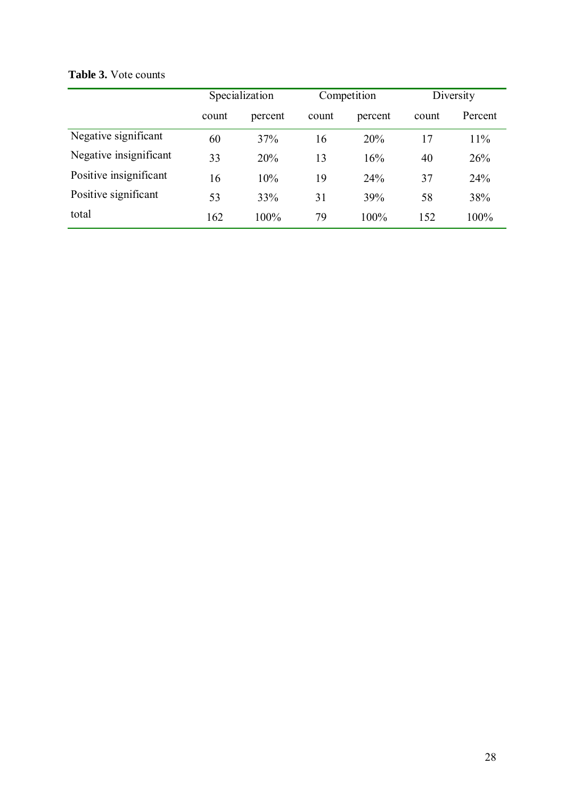# **Table 3.** Vote counts

|                        | Specialization |         |       | Competition | Diversity |         |
|------------------------|----------------|---------|-------|-------------|-----------|---------|
|                        | count          | percent | count | percent     | count     | Percent |
| Negative significant   | 60             | 37%     | 16    | 20%         | 17        | $11\%$  |
| Negative insignificant | 33             | 20%     | 13    | 16%         | 40        | 26%     |
| Positive insignificant | 16             | 10%     | 19    | 24%         | 37        | 24%     |
| Positive significant   | 53             | 33%     | 31    | 39%         | 58        | 38%     |
| total                  | 162            | 100%    | 79    | 100%        | 152       | 100%    |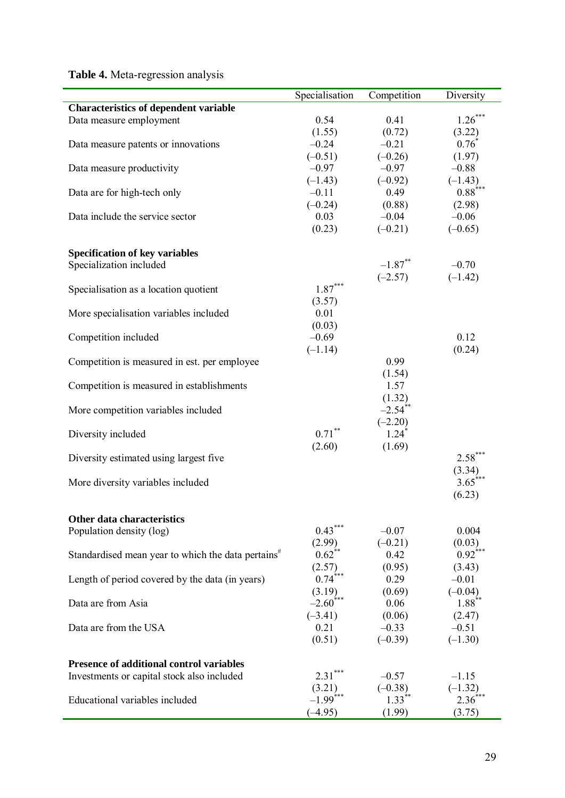**Table 4.** Meta-regression analysis

|                                                                | Specialisation         | Competition                     | Diversity             |
|----------------------------------------------------------------|------------------------|---------------------------------|-----------------------|
| <b>Characteristics of dependent variable</b>                   |                        |                                 |                       |
| Data measure employment                                        | 0.54                   | 0.41                            | $1.26***$             |
|                                                                | (1.55)                 | (0.72)                          | (3.22)                |
| Data measure patents or innovations                            | $-0.24$                | $-0.21$                         | $0.76^*$              |
|                                                                | $(-0.51)$              | $(-0.26)$                       | (1.97)                |
| Data measure productivity                                      | $-0.97$                | $-0.97$                         | $-0.88$               |
|                                                                | $(-1.43)$              | $(-0.92)$                       | $(-1.43)$             |
| Data are for high-tech only                                    | $-0.11$                | 0.49                            | $0.88***$             |
|                                                                |                        |                                 |                       |
|                                                                | $(-0.24)$              | (0.88)                          | (2.98)                |
| Data include the service sector                                | 0.03                   | $-0.04$                         | $-0.06$               |
|                                                                | (0.23)                 | $(-0.21)$                       | $(-0.65)$             |
|                                                                |                        |                                 |                       |
| <b>Specification of key variables</b>                          |                        |                                 |                       |
| Specialization included                                        |                        | $-1.87$ <sup>**</sup>           | $-0.70$               |
|                                                                |                        | $(-2.57)$                       | $(-1.42)$             |
| Specialisation as a location quotient                          | $1.87***$              |                                 |                       |
|                                                                | (3.57)                 |                                 |                       |
| More specialisation variables included                         | 0.01                   |                                 |                       |
|                                                                | (0.03)                 |                                 |                       |
| Competition included                                           | $-0.69$                |                                 | 0.12                  |
|                                                                | $(-1.14)$              |                                 | (0.24)                |
| Competition is measured in est. per employee                   |                        | 0.99                            |                       |
|                                                                |                        | (1.54)                          |                       |
| Competition is measured in establishments                      |                        | 1.57                            |                       |
|                                                                |                        |                                 |                       |
|                                                                |                        | $(1.32)$<br>-2.54 <sup>**</sup> |                       |
| More competition variables included                            |                        |                                 |                       |
|                                                                |                        | $(-2.20)$                       |                       |
| Diversity included                                             | $0.71***$              | $1.24$ <sup>*</sup>             |                       |
|                                                                | (2.60)                 | (1.69)                          |                       |
| Diversity estimated using largest five                         |                        |                                 | $2.58***$             |
|                                                                |                        |                                 | (3.34)                |
| More diversity variables included                              |                        |                                 | $3.65***$             |
|                                                                |                        |                                 | (6.23)                |
|                                                                |                        |                                 |                       |
| Other data characteristics                                     |                        |                                 |                       |
| Population density (log)                                       | $0.43***$              | $-0.07$                         | 0.004                 |
|                                                                | (2.99)                 | $(-0.21)$                       | (0.03)                |
| Standardised mean year to which the data pertains <sup>#</sup> | $0.62$ <sup>**</sup>   | 0.42                            | $0.92$ <sup>***</sup> |
|                                                                | (2.57)                 | (0.95)                          | (3.43)                |
| Length of period covered by the data (in years)                | $0.74$ <sup>***</sup>  | 0.29                            | $-0.01$               |
|                                                                | (3.19)                 | (0.69)                          | $(-0.04)$             |
| Data are from Asia                                             | $-2.60$ <sup>***</sup> | 0.06                            | $1.88$ <sup>**</sup>  |
|                                                                |                        |                                 |                       |
|                                                                | $(-3.41)$              | (0.06)                          | (2.47)                |
| Data are from the USA                                          | 0.21                   | $-0.33$                         | $-0.51$               |
|                                                                | (0.51)                 | $(-0.39)$                       | $(-1.30)$             |
|                                                                |                        |                                 |                       |
| <b>Presence of additional control variables</b>                |                        |                                 |                       |
| Investments or capital stock also included                     | $2.31***$              | $-0.57$                         | $-1.15$               |
|                                                                | (3.21)                 | $(-0.38)$                       | $(-1.32)$             |
| Educational variables included                                 | $-1.99***$             | $1.33***$                       | $2.36***$             |
|                                                                | $(-4.95)$              | (1.99)                          | (3.75)                |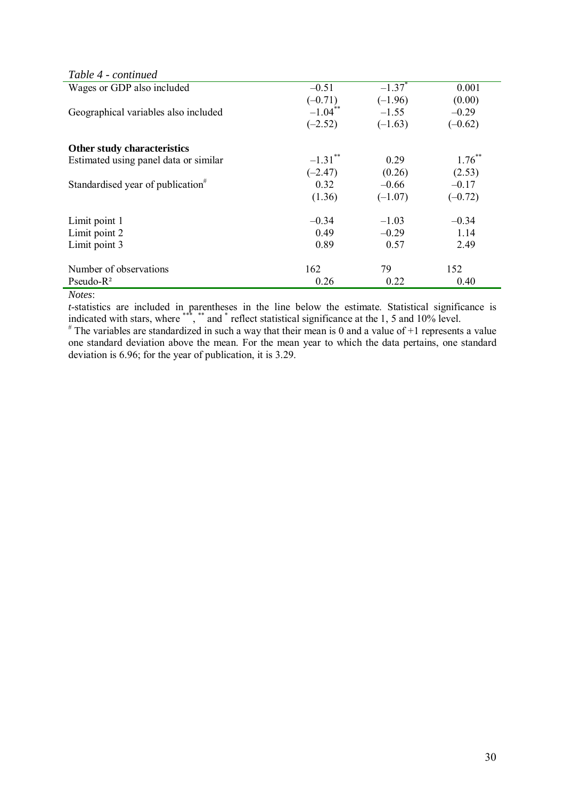| Table 4 - continued                           |                       |                      |           |
|-----------------------------------------------|-----------------------|----------------------|-----------|
| Wages or GDP also included                    | $-0.51$               | $-1.37$ <sup>*</sup> | 0.001     |
|                                               | $(-0.71)$             | $(-1.96)$            | (0.00)    |
| Geographical variables also included          | $-1.04$ <sup>**</sup> | $-1.55$              | $-0.29$   |
|                                               | $(-2.52)$             | $(-1.63)$            | $(-0.62)$ |
| Other study characteristics                   |                       |                      |           |
| Estimated using panel data or similar         | $-1.31$ <sup>**</sup> | 0.29                 | $1.76$ ** |
|                                               | $(-2.47)$             | (0.26)               | (2.53)    |
| Standardised year of publication <sup>#</sup> | 0.32                  | $-0.66$              | $-0.17$   |
|                                               | (1.36)                | $(-1.07)$            | $(-0.72)$ |
| Limit point 1                                 | $-0.34$               | $-1.03$              | $-0.34$   |
| Limit point 2                                 | 0.49                  | $-0.29$              | 1.14      |
| Limit point 3                                 | 0.89                  | 0.57                 | 2.49      |
| Number of observations                        | 162                   | 79                   | 152       |
| Pseudo- $R^2$                                 | 0.26                  | 0.22                 | 0.40      |

## *Notes*:

*t*-statistics are included in parentheses in the line below the estimate. Statistical significance is indicated with stars, where  $***$ ,  $**$  and  $*$  reflect statistical significance at the 1, 5 and 10% level.<br>  $*$  The variables are standardized in such a way that their mean is 0 and a value of +1 represents a value

one standard deviation above the mean. For the mean year to which the data pertains, one standard deviation is 6.96; for the year of publication, it is 3.29.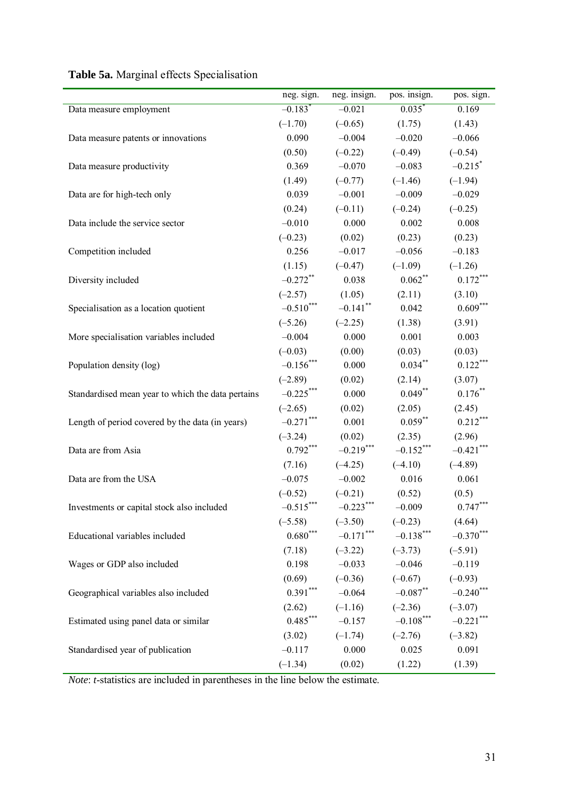|                                                   | neg. sign.            | neg. insign. | pos. insign. | pos. sign.            |
|---------------------------------------------------|-----------------------|--------------|--------------|-----------------------|
| Data measure employment                           | $-0.183$ <sup>*</sup> | $-0.021$     | $0.035*$     | 0.169                 |
|                                                   | $(-1.70)$             | $(-0.65)$    | (1.75)       | (1.43)                |
| Data measure patents or innovations               | 0.090                 | $-0.004$     | $-0.020$     | $-0.066$              |
|                                                   | (0.50)                | $(-0.22)$    | $(-0.49)$    | $(-0.54)$             |
| Data measure productivity                         | 0.369                 | $-0.070$     | $-0.083$     | $-0.215$ <sup>*</sup> |
|                                                   | (1.49)                | $(-0.77)$    | $(-1.46)$    | $(-1.94)$             |
| Data are for high-tech only                       | 0.039                 | $-0.001$     | $-0.009$     | $-0.029$              |
|                                                   | (0.24)                | $(-0.11)$    | $(-0.24)$    | $(-0.25)$             |
| Data include the service sector                   | $-0.010$              | 0.000        | 0.002        | 0.008                 |
|                                                   | $(-0.23)$             | (0.02)       | (0.23)       | (0.23)                |
| Competition included                              | 0.256                 | $-0.017$     | $-0.056$     | $-0.183$              |
|                                                   | (1.15)                | $(-0.47)$    | $(-1.09)$    | $(-1.26)$             |
| Diversity included                                | $-0.272$ **           | 0.038        | $0.062$ **   | $0.172***$            |
|                                                   | $(-2.57)$             | (1.05)       | (2.11)       | (3.10)                |
| Specialisation as a location quotient             | $-0.510***$           | $-0.141$ **  | 0.042        | $0.609***$            |
|                                                   | $(-5.26)$             | $(-2.25)$    | (1.38)       | (3.91)                |
| More specialisation variables included            | $-0.004$              | 0.000        | 0.001        | 0.003                 |
|                                                   | $(-0.03)$             | (0.00)       | (0.03)       | (0.03)                |
| Population density (log)                          | $-0.156$ ***          | 0.000        | $0.034***$   | $0.122***$            |
|                                                   | $(-2.89)$             | (0.02)       | (2.14)       | (3.07)                |
| Standardised mean year to which the data pertains | $-0.225***$           | 0.000        | $0.049**$    | $0.176***$            |
|                                                   | $(-2.65)$             | (0.02)       | (2.05)       | (2.45)                |
| Length of period covered by the data (in years)   | $-0.271***$           | 0.001        | $0.059**$    | $0.212***$            |
|                                                   | $(-3.24)$             | (0.02)       | (2.35)       | (2.96)                |
| Data are from Asia                                | $0.792***$            | $-0.219***$  | $-0.152***$  | $-0.421$ ***          |
|                                                   | (7.16)                | $(-4.25)$    | $(-4.10)$    | $(-4.89)$             |
| Data are from the USA                             | $-0.075$              | $-0.002$     | 0.016        | 0.061                 |
|                                                   | $(-0.52)$             | $(-0.21)$    | (0.52)       | (0.5)                 |
| Investments or capital stock also included        | $-0.515***$           | $-0.223***$  | $-0.009$     | $0.747***$            |
|                                                   | $(-5.58)$             | $(-3.50)$    | $(-0.23)$    | (4.64)                |
| Educational variables included                    | $0.680***$            | $-0.171$ *** | $-0.138***$  | $-0.370***$           |
|                                                   | (7.18)                | $(-3.22)$    | $(-3.73)$    | $(-5.91)$             |
| Wages or GDP also included                        | 0.198                 | $-0.033$     | $-0.046$     | $-0.119$              |
|                                                   | (0.69)                | $(-0.36)$    | $(-0.67)$    | $(-0.93)$             |
| Geographical variables also included              | $0.391***$            | $-0.064$     | $-0.087$ **  | $-0.240$ ***          |
|                                                   | (2.62)                | $(-1.16)$    | $(-2.36)$    | $(-3.07)$             |
| Estimated using panel data or similar             | $0.485***$            | $-0.157$     | $-0.108***$  | $-0.221$ ***          |
|                                                   | (3.02)                | $(-1.74)$    | $(-2.76)$    | $(-3.82)$             |
| Standardised year of publication                  | $-0.117$              | 0.000        | 0.025        | 0.091                 |
|                                                   | $(-1.34)$             | (0.02)       | (1.22)       | (1.39)                |

# **Table 5a.** Marginal effects Specialisation

*Note: t*-statistics are included in parentheses in the line below the estimate.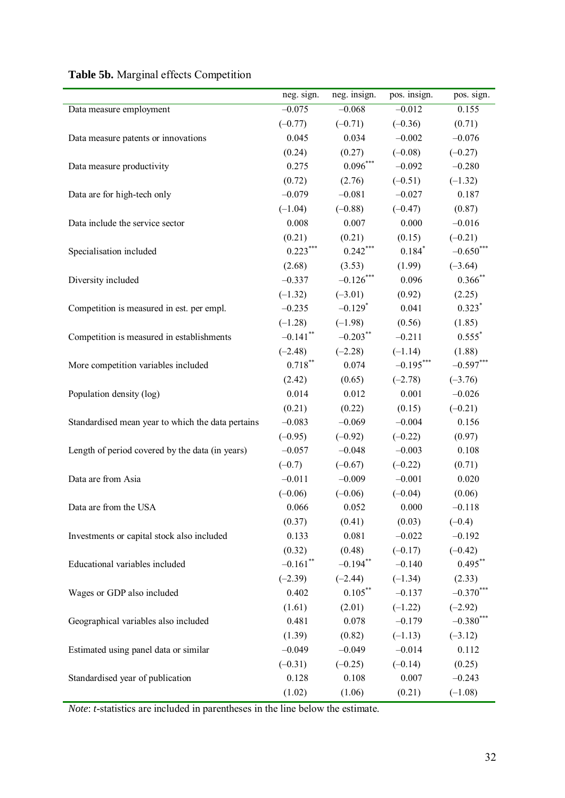|                                                   | neg. sign.  | neg. insign.          | pos. insign. | pos. sign.   |
|---------------------------------------------------|-------------|-----------------------|--------------|--------------|
| Data measure employment                           | $-0.075$    | $-0.068$              | $-0.012$     | 0.155        |
|                                                   | $(-0.77)$   | $(-0.71)$             | $(-0.36)$    | (0.71)       |
| Data measure patents or innovations               | 0.045       | 0.034                 | $-0.002$     | $-0.076$     |
|                                                   | (0.24)      | (0.27)                | $(-0.08)$    | $(-0.27)$    |
| Data measure productivity                         | 0.275       | $0.096***$            | $-0.092$     | $-0.280$     |
|                                                   | (0.72)      | (2.76)                | $(-0.51)$    | $(-1.32)$    |
| Data are for high-tech only                       | $-0.079$    | $-0.081$              | $-0.027$     | 0.187        |
|                                                   | $(-1.04)$   | $(-0.88)$             | $(-0.47)$    | (0.87)       |
| Data include the service sector                   | 0.008       | 0.007                 | 0.000        | $-0.016$     |
|                                                   | (0.21)      | (0.21)                | (0.15)       | $(-0.21)$    |
| Specialisation included                           | $0.223***$  | $0.242***$            | $0.184*$     | $-0.650***$  |
|                                                   | (2.68)      | (3.53)                | (1.99)       | $(-3.64)$    |
| Diversity included                                | $-0.337$    | $-0.126$ ***          | 0.096        | $0.366$ **   |
|                                                   | $(-1.32)$   | $(-3.01)$             | (0.92)       | (2.25)       |
| Competition is measured in est. per empl.         | $-0.235$    | $-0.129$ <sup>*</sup> | 0.041        | $0.323*$     |
|                                                   | $(-1.28)$   | $(-1.98)$             | (0.56)       | (1.85)       |
| Competition is measured in establishments         | $-0.141$ ** | $-0.203$ **           | $-0.211$     | $0.555*$     |
|                                                   | $(-2.48)$   | $(-2.28)$             | $(-1.14)$    | (1.88)       |
| More competition variables included               | $0.718***$  | 0.074                 | $-0.195***$  | $-0.597***$  |
|                                                   | (2.42)      | (0.65)                | $(-2.78)$    | $(-3.76)$    |
| Population density (log)                          | 0.014       | 0.012                 | 0.001        | $-0.026$     |
|                                                   | (0.21)      | (0.22)                | (0.15)       | $(-0.21)$    |
| Standardised mean year to which the data pertains | $-0.083$    | $-0.069$              | $-0.004$     | 0.156        |
|                                                   | $(-0.95)$   | $(-0.92)$             | $(-0.22)$    | (0.97)       |
| Length of period covered by the data (in years)   | $-0.057$    | $-0.048$              | $-0.003$     | 0.108        |
|                                                   | $(-0.7)$    | $(-0.67)$             | $(-0.22)$    | (0.71)       |
| Data are from Asia                                | $-0.011$    | $-0.009$              | $-0.001$     | 0.020        |
|                                                   | $(-0.06)$   | $(-0.06)$             | $(-0.04)$    | (0.06)       |
| Data are from the USA                             | 0.066       | 0.052                 | 0.000        | $-0.118$     |
|                                                   | (0.37)      | (0.41)                | (0.03)       | $(-0.4)$     |
| Investments or capital stock also included        | 0.133       | 0.081                 | $-0.022$     | $-0.192$     |
|                                                   | (0.32)      | (0.48)                | $(-0.17)$    | $(-0.42)$    |
| Educational variables included                    | $-0.161$ ** | $-0.194$ **           | $-0.140$     | $0.495***$   |
|                                                   | $(-2.39)$   | $(-2.44)$             | $(-1.34)$    | (2.33)       |
| Wages or GDP also included                        | 0.402       | $0.105***$            | $-0.137$     | $-0.370***$  |
|                                                   | (1.61)      | (2.01)                | $(-1.22)$    | $(-2.92)$    |
| Geographical variables also included              | 0.481       | 0.078                 | $-0.179$     | $-0.380$ *** |
|                                                   | (1.39)      | (0.82)                | $(-1.13)$    | $(-3.12)$    |
| Estimated using panel data or similar             | $-0.049$    | $-0.049$              | $-0.014$     | 0.112        |
|                                                   | $(-0.31)$   | $(-0.25)$             | $(-0.14)$    | (0.25)       |
| Standardised year of publication                  | 0.128       | 0.108                 | 0.007        | $-0.243$     |
|                                                   | (1.02)      | (1.06)                | (0.21)       | $(-1.08)$    |

# **Table 5b.** Marginal effects Competition

*Note: t*-statistics are included in parentheses in the line below the estimate.